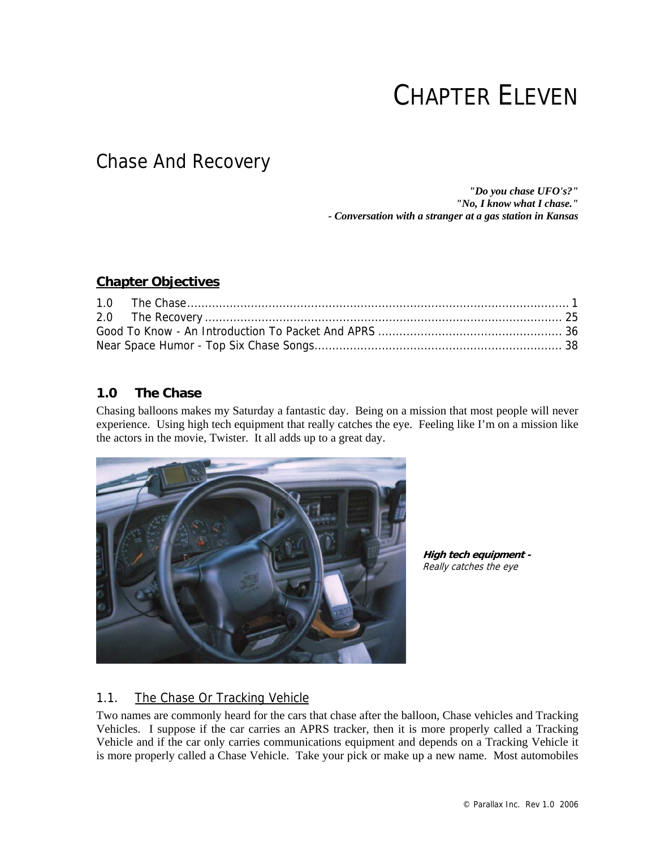# CHAPTER ELEVEN

## Chase And Recovery

*"Do you chase UFO's?" "No, I know what I chase." - Conversation with a stranger at a gas station in Kansas* 

## **Chapter Objectives**

## **1.0 The Chase**

Chasing balloons makes my Saturday a fantastic day. Being on a mission that most people will never experience. Using high tech equipment that really catches the eye. Feeling like I'm on a mission like the actors in the movie, Twister. It all adds up to a great day.



**High tech equipment -**  Really catches the eye

## 1.1. The Chase Or Tracking Vehicle

Two names are commonly heard for the cars that chase after the balloon, Chase vehicles and Tracking Vehicles. I suppose if the car carries an APRS tracker, then it is more properly called a Tracking Vehicle and if the car only carries communications equipment and depends on a Tracking Vehicle it is more properly called a Chase Vehicle. Take your pick or make up a new name. Most automobiles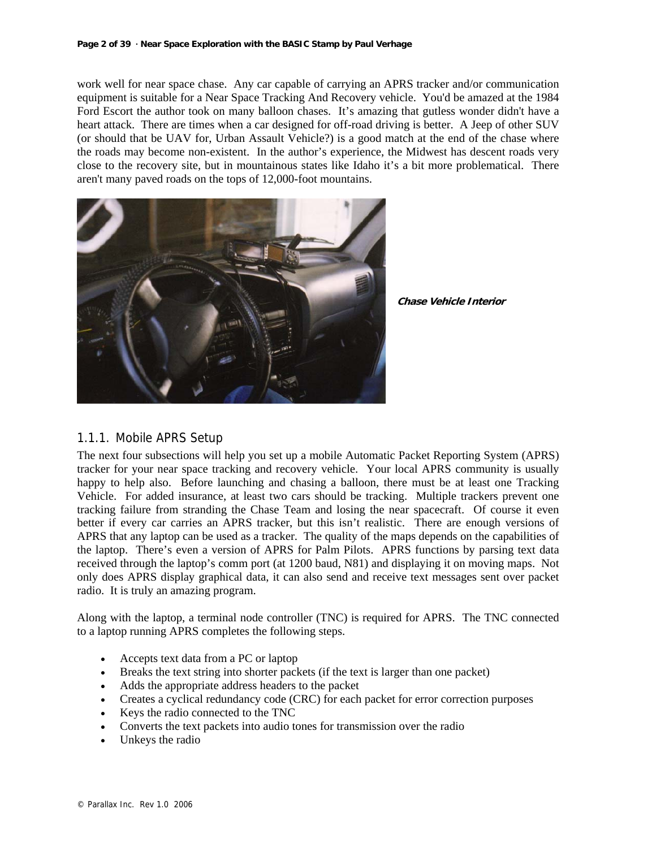work well for near space chase. Any car capable of carrying an APRS tracker and/or communication equipment is suitable for a Near Space Tracking And Recovery vehicle. You'd be amazed at the 1984 Ford Escort the author took on many balloon chases. It's amazing that gutless wonder didn't have a heart attack. There are times when a car designed for off-road driving is better. A Jeep of other SUV (or should that be UAV for, Urban Assault Vehicle?) is a good match at the end of the chase where the roads may become non-existent. In the author's experience, the Midwest has descent roads very close to the recovery site, but in mountainous states like Idaho it's a bit more problematical. There aren't many paved roads on the tops of 12,000-foot mountains.



**Chase Vehicle Interior**

## 1.1.1. Mobile APRS Setup

The next four subsections will help you set up a mobile Automatic Packet Reporting System (APRS) tracker for your near space tracking and recovery vehicle. Your local APRS community is usually happy to help also. Before launching and chasing a balloon, there must be at least one Tracking Vehicle. For added insurance, at least two cars should be tracking. Multiple trackers prevent one tracking failure from stranding the Chase Team and losing the near spacecraft. Of course it even better if every car carries an APRS tracker, but this isn't realistic. There are enough versions of APRS that any laptop can be used as a tracker. The quality of the maps depends on the capabilities of the laptop. There's even a version of APRS for Palm Pilots. APRS functions by parsing text data received through the laptop's comm port (at 1200 baud, N81) and displaying it on moving maps. Not only does APRS display graphical data, it can also send and receive text messages sent over packet radio. It is truly an amazing program.

Along with the laptop, a terminal node controller (TNC) is required for APRS. The TNC connected to a laptop running APRS completes the following steps.

- Accepts text data from a PC or laptop
- Breaks the text string into shorter packets (if the text is larger than one packet)
- Adds the appropriate address headers to the packet
- Creates a cyclical redundancy code (CRC) for each packet for error correction purposes
- Keys the radio connected to the TNC
- Converts the text packets into audio tones for transmission over the radio
- Unkeys the radio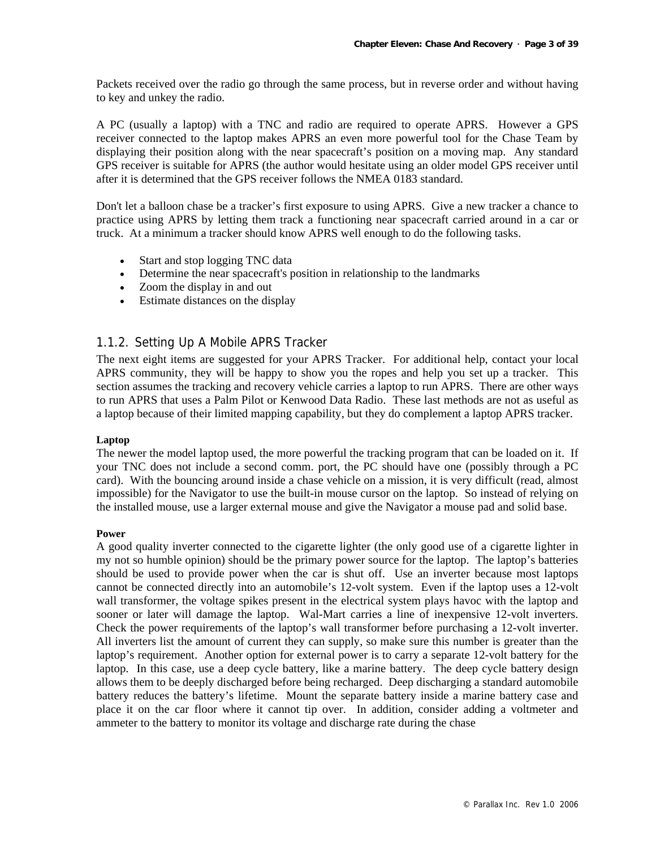Packets received over the radio go through the same process, but in reverse order and without having to key and unkey the radio.

A PC (usually a laptop) with a TNC and radio are required to operate APRS. However a GPS receiver connected to the laptop makes APRS an even more powerful tool for the Chase Team by displaying their position along with the near spacecraft's position on a moving map. Any standard GPS receiver is suitable for APRS (the author would hesitate using an older model GPS receiver until after it is determined that the GPS receiver follows the NMEA 0183 standard.

Don't let a balloon chase be a tracker's first exposure to using APRS. Give a new tracker a chance to practice using APRS by letting them track a functioning near spacecraft carried around in a car or truck. At a minimum a tracker should know APRS well enough to do the following tasks.

- Start and stop logging TNC data
- Determine the near spacecraft's position in relationship to the landmarks
- Zoom the display in and out
- Estimate distances on the display

## 1.1.2. Setting Up A Mobile APRS Tracker

The next eight items are suggested for your APRS Tracker. For additional help, contact your local APRS community, they will be happy to show you the ropes and help you set up a tracker. This section assumes the tracking and recovery vehicle carries a laptop to run APRS. There are other ways to run APRS that uses a Palm Pilot or Kenwood Data Radio. These last methods are not as useful as a laptop because of their limited mapping capability, but they do complement a laptop APRS tracker.

#### **Laptop**

The newer the model laptop used, the more powerful the tracking program that can be loaded on it. If your TNC does not include a second comm. port, the PC should have one (possibly through a PC card). With the bouncing around inside a chase vehicle on a mission, it is very difficult (read, almost impossible) for the Navigator to use the built-in mouse cursor on the laptop. So instead of relying on the installed mouse, use a larger external mouse and give the Navigator a mouse pad and solid base.

#### **Power**

A good quality inverter connected to the cigarette lighter (the only good use of a cigarette lighter in my not so humble opinion) should be the primary power source for the laptop. The laptop's batteries should be used to provide power when the car is shut off. Use an inverter because most laptops cannot be connected directly into an automobile's 12-volt system. Even if the laptop uses a 12-volt wall transformer, the voltage spikes present in the electrical system plays havoc with the laptop and sooner or later will damage the laptop. Wal-Mart carries a line of inexpensive 12-volt inverters. Check the power requirements of the laptop's wall transformer before purchasing a 12-volt inverter. All inverters list the amount of current they can supply, so make sure this number is greater than the laptop's requirement. Another option for external power is to carry a separate 12-volt battery for the laptop. In this case, use a deep cycle battery, like a marine battery. The deep cycle battery design allows them to be deeply discharged before being recharged. Deep discharging a standard automobile battery reduces the battery's lifetime. Mount the separate battery inside a marine battery case and place it on the car floor where it cannot tip over. In addition, consider adding a voltmeter and ammeter to the battery to monitor its voltage and discharge rate during the chase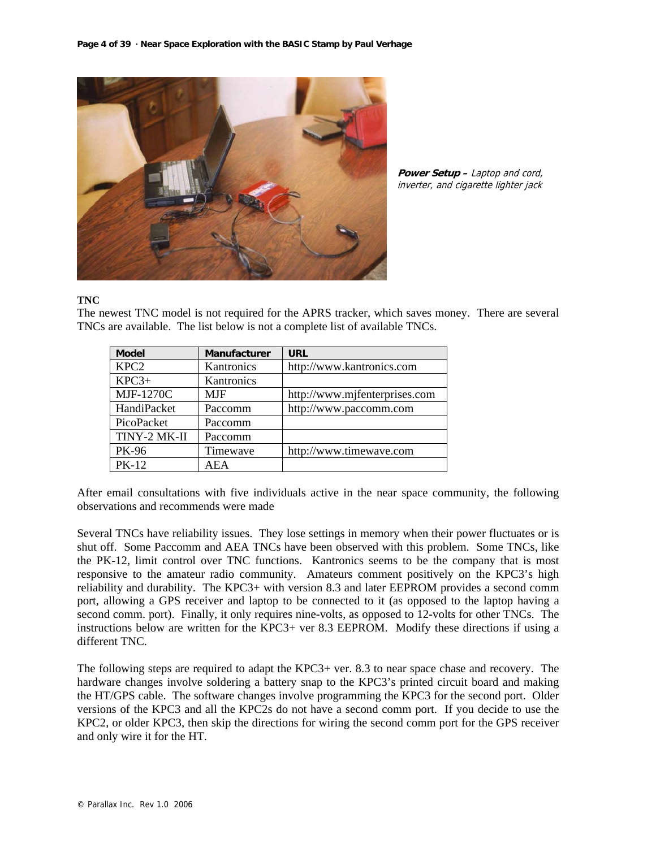

**Power Setup –** Laptop and cord, inverter, and cigarette lighter jack

#### **TNC**

The newest TNC model is not required for the APRS tracker, which saves money. There are several TNCs are available. The list below is not a complete list of available TNCs.

| <b>Model</b>     | <b>Manufacturer</b> | <b>URL</b>                    |
|------------------|---------------------|-------------------------------|
| KPC <sub>2</sub> | Kantronics          | http://www.kantronics.com     |
| $KPC3+$          | Kantronics          |                               |
| MJF-1270C        | <b>MJF</b>          | http://www.mjfenterprises.com |
| HandiPacket      | Paccomm             | http://www.paccomm.com        |
| PicoPacket       | Paccomm             |                               |
| TINY-2 MK-II     | Paccomm             |                               |
| PK-96            | Timewave            | http://www.timewave.com       |
| $PK-12$          | AEA                 |                               |

After email consultations with five individuals active in the near space community, the following observations and recommends were made

Several TNCs have reliability issues. They lose settings in memory when their power fluctuates or is shut off. Some Paccomm and AEA TNCs have been observed with this problem. Some TNCs, like the PK-12, limit control over TNC functions. Kantronics seems to be the company that is most responsive to the amateur radio community. Amateurs comment positively on the KPC3's high reliability and durability. The KPC3+ with version 8.3 and later EEPROM provides a second comm port, allowing a GPS receiver and laptop to be connected to it (as opposed to the laptop having a second comm. port). Finally, it only requires nine-volts, as opposed to 12-volts for other TNCs. The instructions below are written for the KPC3+ ver 8.3 EEPROM. Modify these directions if using a different TNC.

The following steps are required to adapt the KPC3+ ver. 8.3 to near space chase and recovery. The hardware changes involve soldering a battery snap to the KPC3's printed circuit board and making the HT/GPS cable. The software changes involve programming the KPC3 for the second port. Older versions of the KPC3 and all the KPC2s do not have a second comm port. If you decide to use the KPC2, or older KPC3, then skip the directions for wiring the second comm port for the GPS receiver and only wire it for the HT.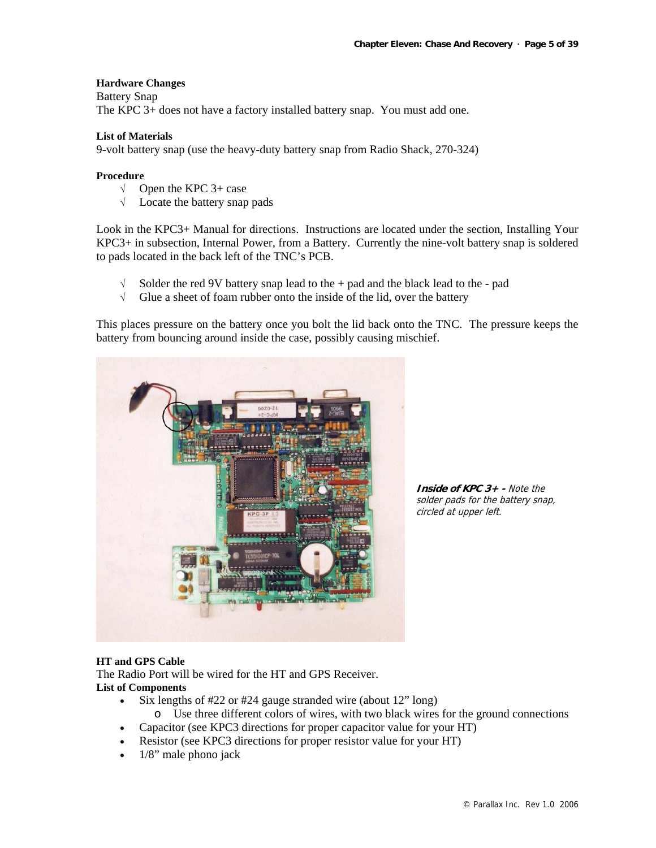#### **Hardware Changes**

#### Battery Snap

The KPC 3+ does not have a factory installed battery snap. You must add one.

#### **List of Materials**

9-volt battery snap (use the heavy-duty battery snap from Radio Shack, 270-324)

#### **Procedure**

- $\sqrt{\phantom{a}}$  Open the KPC 3+ case
- √ Locate the battery snap pads

Look in the KPC3+ Manual for directions. Instructions are located under the section, Installing Your KPC3+ in subsection, Internal Power, from a Battery. Currently the nine-volt battery snap is soldered to pads located in the back left of the TNC's PCB.

- $\sqrt{\phantom{a}}$  Solder the red 9V battery snap lead to the + pad and the black lead to the pad
- $\sqrt{\phantom{a}}$  Glue a sheet of foam rubber onto the inside of the lid, over the battery

This places pressure on the battery once you bolt the lid back onto the TNC. The pressure keeps the battery from bouncing around inside the case, possibly causing mischief.



**Inside of KPC 3+ -** Note the solder pads for the battery snap, circled at upper left.

#### **HT and GPS Cable**

The Radio Port will be wired for the HT and GPS Receiver. **List of Components** 

- Six lengths of #22 or #24 gauge stranded wire (about 12" long)
	- o Use three different colors of wires, with two black wires for the ground connections
- Capacitor (see KPC3 directions for proper capacitor value for your HT)
- Resistor (see KPC3 directions for proper resistor value for your HT)
- $1/8$ " male phono jack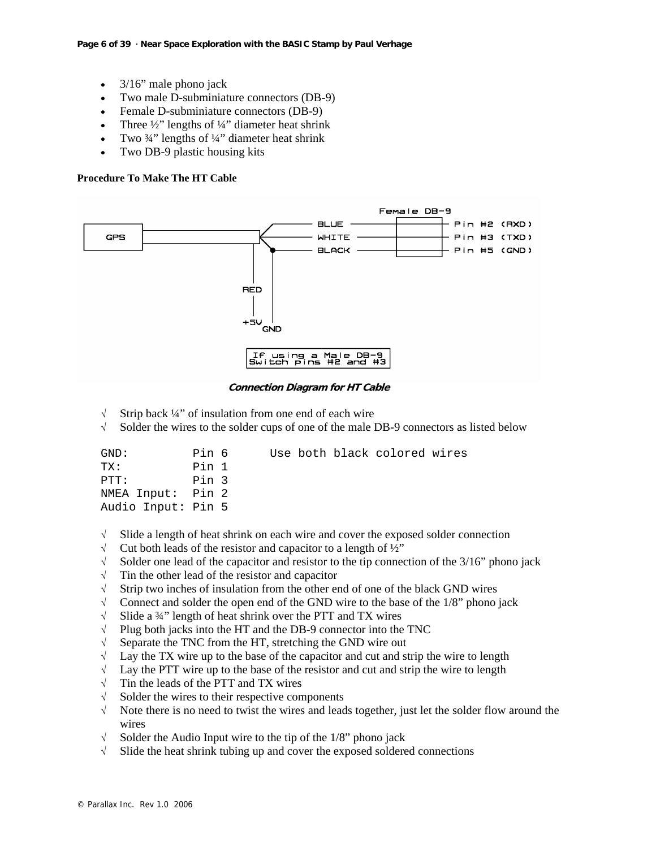- $\bullet$  3/16" male phono jack
- Two male D-subminiature connectors (DB-9)
- Female D-subminiature connectors (DB-9)
- Three  $\frac{1}{2}$ " lengths of  $\frac{1}{4}$ " diameter heat shrink
- Two  $\frac{3}{4}$ " lengths of  $\frac{1}{4}$ " diameter heat shrink
- Two DB-9 plastic housing kits

#### **Procedure To Make The HT Cable**



**Connection Diagram for HT Cable** 

- $\sqrt{\phantom{a}}$  Strip back ¼" of insulation from one end of each wire
- Solder the wires to the solder cups of one of the male DB-9 connectors as listed below

| GND:               | Pin 6 | Use both black colored wires |
|--------------------|-------|------------------------------|
| TX:                | Pin 1 |                              |
| PTT:               | Pin 3 |                              |
| NMEA Input: Pin 2  |       |                              |
| Audio Input: Pin 5 |       |                              |

- √ Slide a length of heat shrink on each wire and cover the exposed solder connection
- $\sqrt{\phantom{a}}$  Cut both leads of the resistor and capacitor to a length of  $\frac{1}{2}$ "
- $\sqrt{\phantom{a}}$  Solder one lead of the capacitor and resistor to the tip connection of the 3/16" phono jack
- √ Tin the other lead of the resistor and capacitor
- √ Strip two inches of insulation from the other end of one of the black GND wires
- $\sqrt{\phantom{a}}$  Connect and solder the open end of the GND wire to the base of the 1/8" phono jack
- $\sqrt{\phantom{a}}$  Slide a 3<sup>4</sup> length of heat shrink over the PTT and TX wires
- √ Plug both jacks into the HT and the DB-9 connector into the TNC
- √ Separate the TNC from the HT, stretching the GND wire out
- $\sqrt{\phantom{a}}$  Lay the TX wire up to the base of the capacitor and cut and strip the wire to length
- $\sqrt{\phantom{a}}$  Lay the PTT wire up to the base of the resistor and cut and strip the wire to length
- √ Tin the leads of the PTT and TX wires
- $\sqrt{\phantom{a}}$  Solder the wires to their respective components
- √ Note there is no need to twist the wires and leads together, just let the solder flow around the wires
- $\sqrt{\phantom{a}}$  Solder the Audio Input wire to the tip of the 1/8" phono jack
- $\sqrt{\phantom{a}}$  Slide the heat shrink tubing up and cover the exposed soldered connections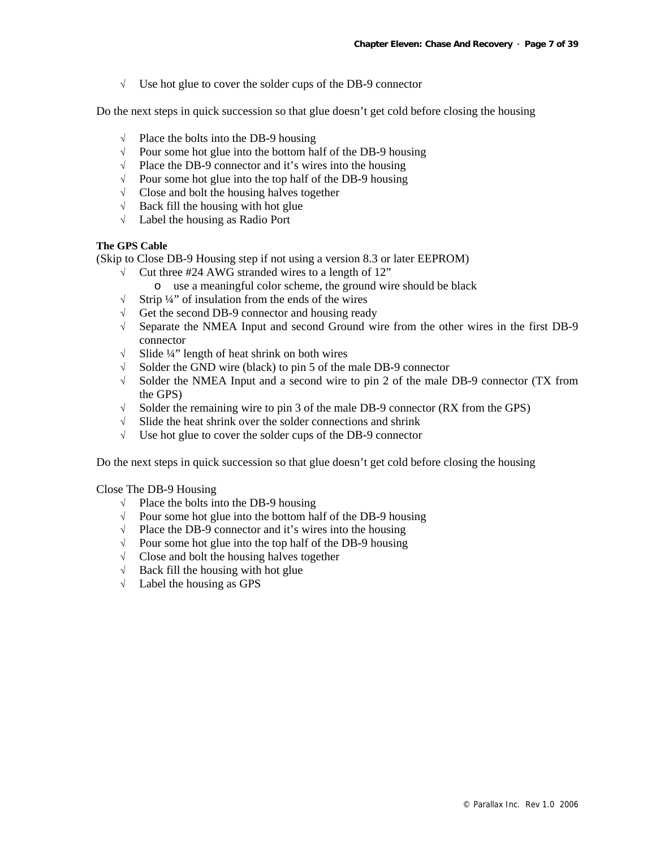√ Use hot glue to cover the solder cups of the DB-9 connector

Do the next steps in quick succession so that glue doesn't get cold before closing the housing

- $\sqrt{\phantom{a}}$  Place the bolts into the DB-9 housing
- $\sqrt{\phantom{a}}$  Pour some hot glue into the bottom half of the DB-9 housing
- √ Place the DB-9 connector and it's wires into the housing
- √ Pour some hot glue into the top half of the DB-9 housing
- √ Close and bolt the housing halves together
- $\sqrt{\phantom{a}}$  Back fill the housing with hot glue
- √ Label the housing as Radio Port

#### **The GPS Cable**

(Skip to Close DB-9 Housing step if not using a version 8.3 or later EEPROM)

- $\sqrt{\phantom{a}}$  Cut three #24 AWG stranded wires to a length of 12"
	- o use a meaningful color scheme, the ground wire should be black
- √ Strip ¼" of insulation from the ends of the wires
- √ Get the second DB-9 connector and housing ready
- √ Separate the NMEA Input and second Ground wire from the other wires in the first DB-9 connector
- √ Slide ¼" length of heat shrink on both wires
- $\sqrt{\phantom{a}}$  Solder the GND wire (black) to pin 5 of the male DB-9 connector
- $\sqrt{\phantom{a}}$  Solder the NMEA Input and a second wire to pin 2 of the male DB-9 connector (TX from the GPS)
- $\sqrt{\phantom{a}}$  Solder the remaining wire to pin 3 of the male DB-9 connector (RX from the GPS)
- $\sqrt{\phantom{a}}$  Slide the heat shrink over the solder connections and shrink
- √ Use hot glue to cover the solder cups of the DB-9 connector

Do the next steps in quick succession so that glue doesn't get cold before closing the housing

Close The DB-9 Housing

- $\sqrt{\phantom{a}}$  Place the bolts into the DB-9 housing
- √ Pour some hot glue into the bottom half of the DB-9 housing
- √ Place the DB-9 connector and it's wires into the housing
- √ Pour some hot glue into the top half of the DB-9 housing
- √ Close and bolt the housing halves together
- $\sqrt{\phantom{a}}$  Back fill the housing with hot glue
- √ Label the housing as GPS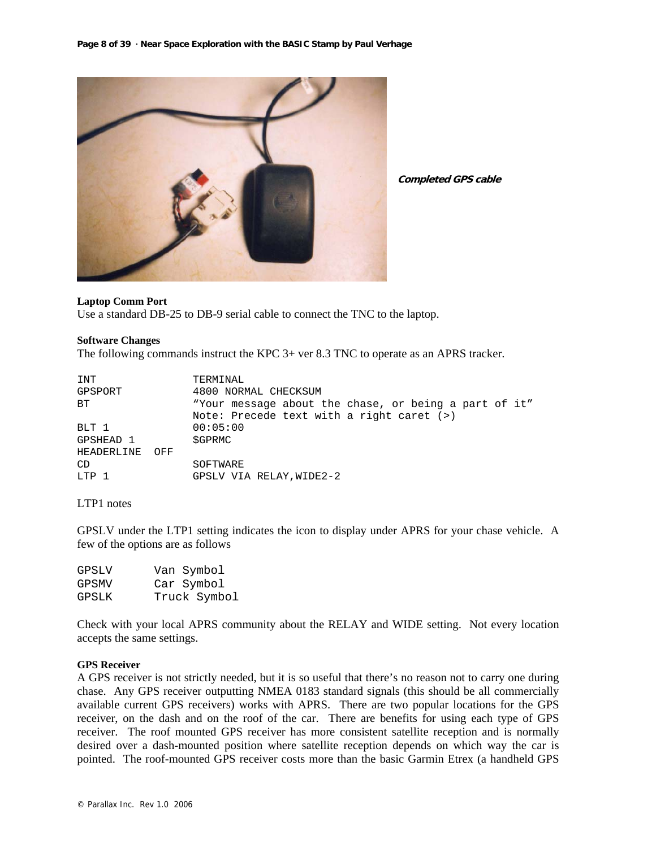

**Completed GPS cable**

#### **Laptop Comm Port**

Use a standard DB-25 to DB-9 serial cable to connect the TNC to the laptop.

#### **Software Changes**

The following commands instruct the KPC 3+ ver 8.3 TNC to operate as an APRS tracker.

| INT               | TERMINAL                                              |  |  |
|-------------------|-------------------------------------------------------|--|--|
| GPSPORT           | 4800 NORMAL CHECKSUM                                  |  |  |
| BT                | "Your message about the chase, or being a part of it" |  |  |
|                   | Note: Precede text with a right caret (>)             |  |  |
| BLT 1             | 00:05:00                                              |  |  |
| GPSHEAD 1         | SGPRMC                                                |  |  |
| HEADERLINE<br>OFF |                                                       |  |  |
| CD.               | SOFTWARE                                              |  |  |
| LTP 1             | GPSLV VIA RELAY. WIDE2-2                              |  |  |

#### LTP1 notes

GPSLV under the LTP1 setting indicates the icon to display under APRS for your chase vehicle. A few of the options are as follows

| <b>GPSLV</b> | Van Symbol   |
|--------------|--------------|
| <b>GPSMV</b> | Car Symbol   |
| GPSLK        | Truck Symbol |

Check with your local APRS community about the RELAY and WIDE setting. Not every location accepts the same settings.

#### **GPS Receiver**

A GPS receiver is not strictly needed, but it is so useful that there's no reason not to carry one during chase. Any GPS receiver outputting NMEA 0183 standard signals (this should be all commercially available current GPS receivers) works with APRS. There are two popular locations for the GPS receiver, on the dash and on the roof of the car. There are benefits for using each type of GPS receiver. The roof mounted GPS receiver has more consistent satellite reception and is normally desired over a dash-mounted position where satellite reception depends on which way the car is pointed. The roof-mounted GPS receiver costs more than the basic Garmin Etrex (a handheld GPS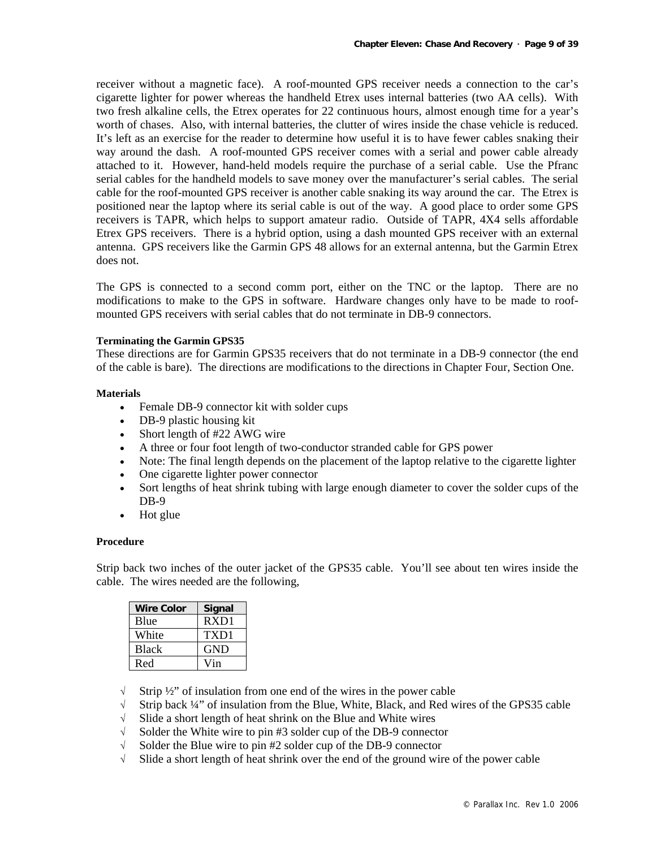receiver without a magnetic face). A roof-mounted GPS receiver needs a connection to the car's cigarette lighter for power whereas the handheld Etrex uses internal batteries (two AA cells). With two fresh alkaline cells, the Etrex operates for 22 continuous hours, almost enough time for a year's worth of chases. Also, with internal batteries, the clutter of wires inside the chase vehicle is reduced. It's left as an exercise for the reader to determine how useful it is to have fewer cables snaking their way around the dash. A roof-mounted GPS receiver comes with a serial and power cable already attached to it. However, hand-held models require the purchase of a serial cable. Use the Pfranc serial cables for the handheld models to save money over the manufacturer's serial cables. The serial cable for the roof-mounted GPS receiver is another cable snaking its way around the car. The Etrex is positioned near the laptop where its serial cable is out of the way. A good place to order some GPS receivers is TAPR, which helps to support amateur radio. Outside of TAPR, 4X4 sells affordable Etrex GPS receivers. There is a hybrid option, using a dash mounted GPS receiver with an external antenna. GPS receivers like the Garmin GPS 48 allows for an external antenna, but the Garmin Etrex does not.

The GPS is connected to a second comm port, either on the TNC or the laptop. There are no modifications to make to the GPS in software. Hardware changes only have to be made to roofmounted GPS receivers with serial cables that do not terminate in DB-9 connectors.

#### **Terminating the Garmin GPS35**

These directions are for Garmin GPS35 receivers that do not terminate in a DB-9 connector (the end of the cable is bare). The directions are modifications to the directions in Chapter Four, Section One.

#### **Materials**

- Female DB-9 connector kit with solder cups
- DB-9 plastic housing kit
- Short length of #22 AWG wire
- A three or four foot length of two-conductor stranded cable for GPS power
- Note: The final length depends on the placement of the laptop relative to the cigarette lighter
- One cigarette lighter power connector
- Sort lengths of heat shrink tubing with large enough diameter to cover the solder cups of the DB-9
- Hot glue

#### **Procedure**

Strip back two inches of the outer jacket of the GPS35 cable. You'll see about ten wires inside the cable. The wires needed are the following,

| <b>Wire Color</b> | Signal     |
|-------------------|------------|
| Blue              | RXD1       |
| White             | TXD1       |
| <b>Black</b>      | <b>GND</b> |
| Red               | Vin        |

- √ Strip ½" of insulation from one end of the wires in the power cable
- √ Strip back ¼" of insulation from the Blue, White, Black, and Red wires of the GPS35 cable
- √ Slide a short length of heat shrink on the Blue and White wires
- $\sqrt{\phantom{a}}$  Solder the White wire to pin #3 solder cup of the DB-9 connector
- $\sqrt{\phantom{a}}$  Solder the Blue wire to pin #2 solder cup of the DB-9 connector
- √ Slide a short length of heat shrink over the end of the ground wire of the power cable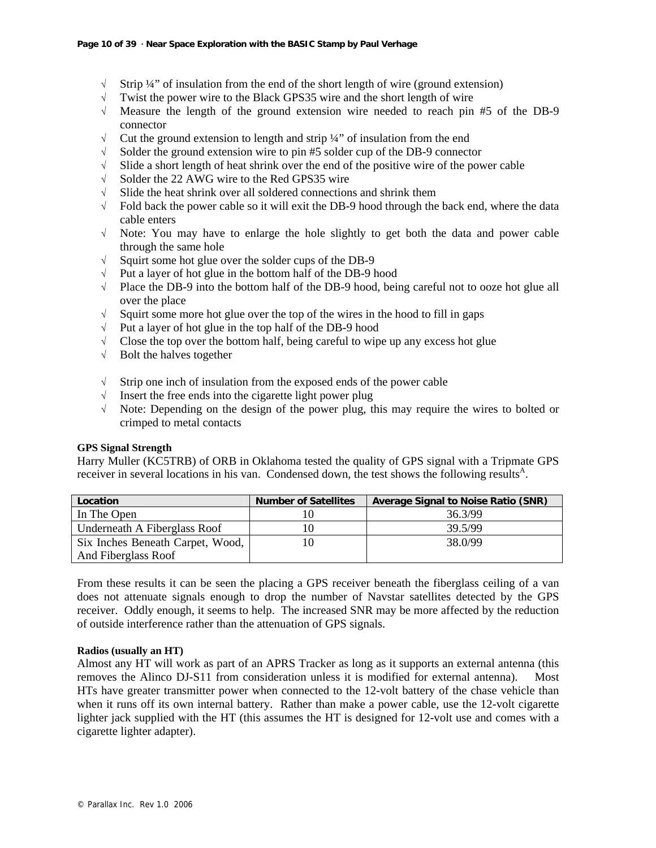- $\sqrt{\phantom{a}}$  Strip ¼" of insulation from the end of the short length of wire (ground extension)<br> $\sqrt{\phantom{a}}$  Twist the power wire to the Black GPS35 wire and the short length of wire
- Twist the power wire to the Black GPS35 wire and the short length of wire
- $\sqrt{\phantom{a}}$  Measure the length of the ground extension wire needed to reach pin #5 of the DB-9 connector
- $\sqrt{\phantom{a}}$  Cut the ground extension to length and strip ¼" of insulation from the end
- $\sqrt{\phantom{a}}$  Solder the ground extension wire to pin #5 solder cup of the DB-9 connector
- $\sqrt{\phantom{a}}$  Slide a short length of heat shrink over the end of the positive wire of the power cable
- √ Solder the 22 AWG wire to the Red GPS35 wire
- √ Slide the heat shrink over all soldered connections and shrink them
- √ Fold back the power cable so it will exit the DB-9 hood through the back end, where the data cable enters
- √ Note: You may have to enlarge the hole slightly to get both the data and power cable through the same hole
- √ Squirt some hot glue over the solder cups of the DB-9
- √ Put a layer of hot glue in the bottom half of the DB-9 hood
- √ Place the DB-9 into the bottom half of the DB-9 hood, being careful not to ooze hot glue all over the place
- $\sqrt{\phantom{a}}$  Squirt some more hot glue over the top of the wires in the hood to fill in gaps
- √ Put a layer of hot glue in the top half of the DB-9 hood
- $\sqrt{\phantom{a}}$  Close the top over the bottom half, being careful to wipe up any excess hot glue
- √ Bolt the halves together
- $\sqrt{\frac{1}{\sqrt{1}}}\$  Strip one inch of insulation from the exposed ends of the power cable  $\sqrt{\frac{1}{\sqrt{1}}}\$
- $\sqrt{\phantom{a}}$  Insert the free ends into the cigarette light power plug  $\sqrt{\phantom{a}}$  Note: Denending on the design of the power plug, the
- Note: Depending on the design of the power plug, this may require the wires to bolted or crimped to metal contacts

#### **GPS Signal Strength**

Harry Muller (KC5TRB) of ORB in Oklahoma tested the quality of GPS signal with a Tripmate GPS receiver in several locations in his van. Condensed down, the test shows the following results<sup>A</sup>.

| Location                         | <b>Number of Satellites</b> | Average Signal to Noise Ratio (SNR) |
|----------------------------------|-----------------------------|-------------------------------------|
| In The Open                      |                             | 36.3/99                             |
| Underneath A Fiberglass Roof     |                             | 39.5/99                             |
| Six Inches Beneath Carpet, Wood, |                             | 38.0/99                             |
| And Fiberglass Roof              |                             |                                     |

From these results it can be seen the placing a GPS receiver beneath the fiberglass ceiling of a van does not attenuate signals enough to drop the number of Navstar satellites detected by the GPS receiver. Oddly enough, it seems to help. The increased SNR may be more affected by the reduction of outside interference rather than the attenuation of GPS signals.

#### **Radios (usually an HT)**

Almost any HT will work as part of an APRS Tracker as long as it supports an external antenna (this removes the Alinco DJ-S11 from consideration unless it is modified for external antenna). Most HTs have greater transmitter power when connected to the 12-volt battery of the chase vehicle than when it runs off its own internal battery. Rather than make a power cable, use the 12-volt cigarette lighter jack supplied with the HT (this assumes the HT is designed for 12-volt use and comes with a cigarette lighter adapter).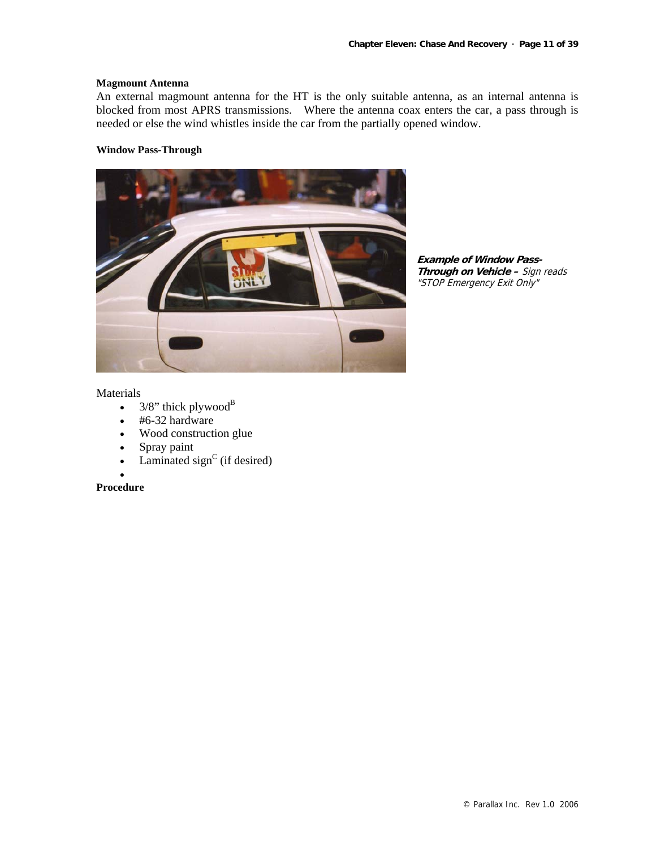#### **Magmount Antenna**

An external magmount antenna for the HT is the only suitable antenna, as an internal antenna is blocked from most APRS transmissions. Where the antenna coax enters the car, a pass through is needed or else the wind whistles inside the car from the partially opened window.

#### **Window Pass-Through**



**Example of Window Pass-Through on Vehicle –** Sign reads "STOP Emergency Exit Only"

Materials

- $3/8$ " thick plywood<sup>B</sup>
- #6-32 hardware
- Wood construction glue
- Spray paint
- Laminated sign<sup>C</sup> (if desired)

#### • **Procedure**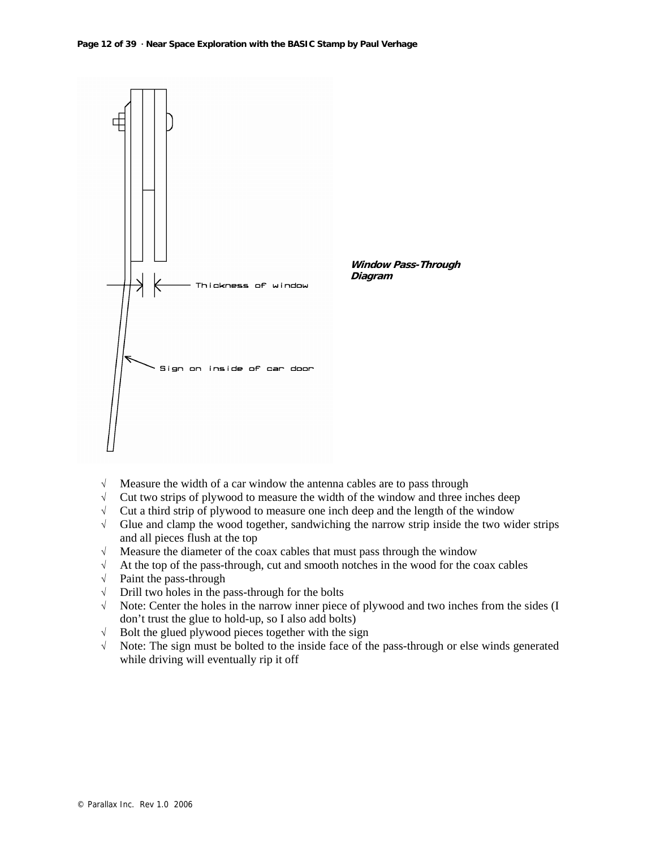

- $\sqrt{\phantom{a}}$  Measure the width of a car window the antenna cables are to pass through
- $\sqrt{\phantom{a}}$  Cut two strips of plywood to measure the width of the window and three inches deep
- $\sqrt{\phantom{a}}$  Cut a third strip of plywood to measure one inch deep and the length of the window
- √ Glue and clamp the wood together, sandwiching the narrow strip inside the two wider strips and all pieces flush at the top
- √ Measure the diameter of the coax cables that must pass through the window
- $\sqrt{\phantom{a}}$  At the top of the pass-through, cut and smooth notches in the wood for the coax cables
- √ Paint the pass-through
- √ Drill two holes in the pass-through for the bolts
- √ Note: Center the holes in the narrow inner piece of plywood and two inches from the sides (I don't trust the glue to hold-up, so I also add bolts)
- √ Bolt the glued plywood pieces together with the sign
- √ Note: The sign must be bolted to the inside face of the pass-through or else winds generated while driving will eventually rip it off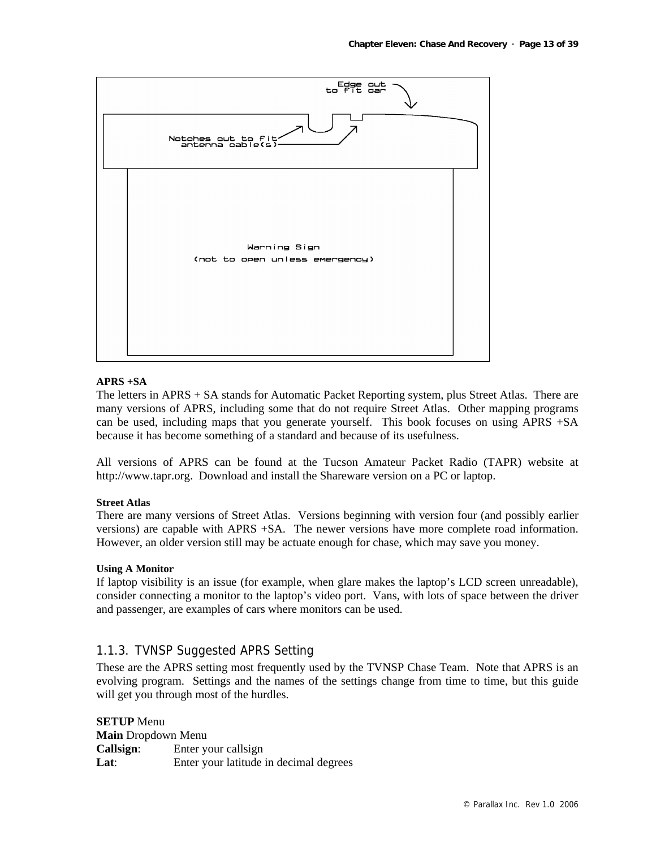

#### **APRS +SA**

The letters in APRS + SA stands for Automatic Packet Reporting system, plus Street Atlas. There are many versions of APRS, including some that do not require Street Atlas. Other mapping programs can be used, including maps that you generate yourself. This book focuses on using APRS +SA because it has become something of a standard and because of its usefulness.

All versions of APRS can be found at the Tucson Amateur Packet Radio (TAPR) website at http://www.tapr.org. Download and install the Shareware version on a PC or laptop.

#### **Street Atlas**

There are many versions of Street Atlas. Versions beginning with version four (and possibly earlier versions) are capable with APRS +SA. The newer versions have more complete road information. However, an older version still may be actuate enough for chase, which may save you money.

#### **Using A Monitor**

If laptop visibility is an issue (for example, when glare makes the laptop's LCD screen unreadable), consider connecting a monitor to the laptop's video port. Vans, with lots of space between the driver and passenger, are examples of cars where monitors can be used.

## 1.1.3. TVNSP Suggested APRS Setting

These are the APRS setting most frequently used by the TVNSP Chase Team. Note that APRS is an evolving program. Settings and the names of the settings change from time to time, but this guide will get you through most of the hurdles.

**SETUP** Menu **Main** Dropdown Menu **Callsign**: Enter your callsign Lat: Enter your latitude in decimal degrees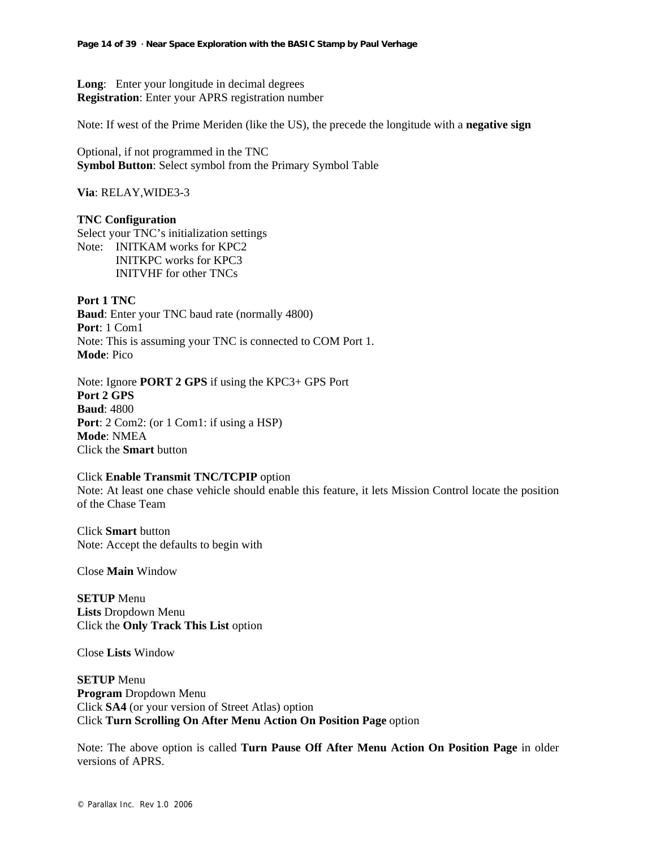**Long**: Enter your longitude in decimal degrees **Registration**: Enter your APRS registration number

Note: If west of the Prime Meriden (like the US), the precede the longitude with a **negative sign** 

Optional, if not programmed in the TNC **Symbol Button**: Select symbol from the Primary Symbol Table

**Via**: RELAY,WIDE3-3

#### **TNC Configuration**

Select your TNC's initialization settings Note: INITKAM works for KPC2 INITKPC works for KPC3 INITVHF for other TNCs

**Port 1 TNC Baud**: Enter your TNC baud rate (normally 4800) **Port**: 1 Com1 Note: This is assuming your TNC is connected to COM Port 1. **Mode**: Pico

Note: Ignore **PORT 2 GPS** if using the KPC3+ GPS Port **Port 2 GPS Baud**: 4800 Port: 2 Com2: (or 1 Com1: if using a HSP) **Mode**: NMEA Click the **Smart** button

Click **Enable Transmit TNC/TCPIP** option Note: At least one chase vehicle should enable this feature, it lets Mission Control locate the position of the Chase Team

Click **Smart** button Note: Accept the defaults to begin with

Close **Main** Window

**SETUP** Menu **Lists** Dropdown Menu Click the **Only Track This List** option

Close **Lists** Window

**SETUP** Menu **Program** Dropdown Menu Click **SA4** (or your version of Street Atlas) option Click **Turn Scrolling On After Menu Action On Position Page** option

Note: The above option is called **Turn Pause Off After Menu Action On Position Page** in older versions of APRS.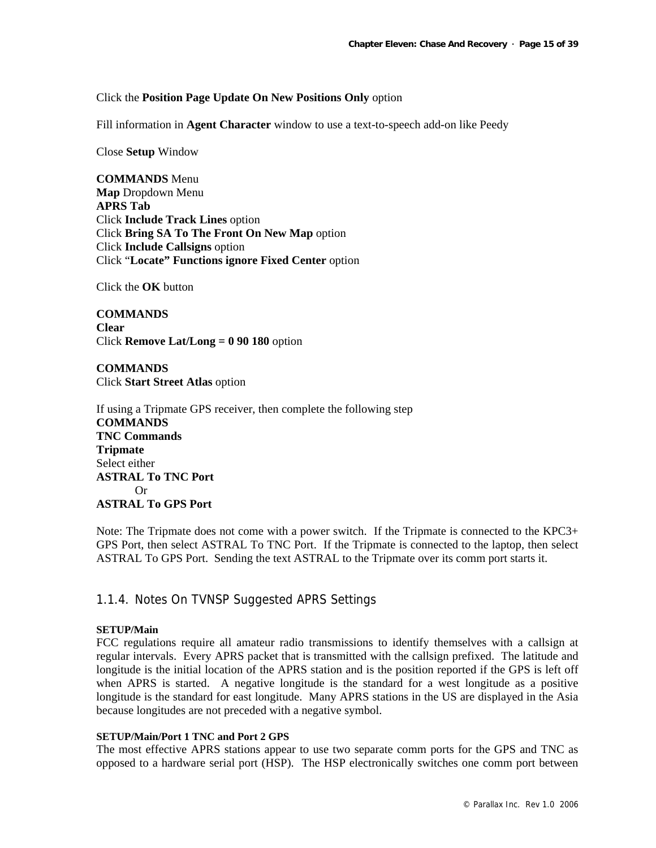#### Click the **Position Page Update On New Positions Only** option

Fill information in **Agent Character** window to use a text-to-speech add-on like Peedy

Close **Setup** Window

**COMMANDS** Menu **Map** Dropdown Menu **APRS Tab** Click **Include Track Lines** option Click **Bring SA To The Front On New Map** option Click **Include Callsigns** option Click "**Locate" Functions ignore Fixed Center** option

Click the **OK** button

**COMMANDS Clear** Click **Remove Lat/Long = 0 90 180** option

**COMMANDS**  Click **Start Street Atlas** option

If using a Tripmate GPS receiver, then complete the following step **COMMANDS TNC Commands Tripmate**  Select either **ASTRAL To TNC Port**   $\Omega$ r **ASTRAL To GPS Port** 

Note: The Tripmate does not come with a power switch. If the Tripmate is connected to the KPC3+ GPS Port, then select ASTRAL To TNC Port. If the Tripmate is connected to the laptop, then select ASTRAL To GPS Port. Sending the text ASTRAL to the Tripmate over its comm port starts it.

## 1.1.4. Notes On TVNSP Suggested APRS Settings

#### **SETUP/Main**

FCC regulations require all amateur radio transmissions to identify themselves with a callsign at regular intervals. Every APRS packet that is transmitted with the callsign prefixed. The latitude and longitude is the initial location of the APRS station and is the position reported if the GPS is left off when APRS is started. A negative longitude is the standard for a west longitude as a positive longitude is the standard for east longitude. Many APRS stations in the US are displayed in the Asia because longitudes are not preceded with a negative symbol.

#### **SETUP/Main/Port 1 TNC and Port 2 GPS**

The most effective APRS stations appear to use two separate comm ports for the GPS and TNC as opposed to a hardware serial port (HSP). The HSP electronically switches one comm port between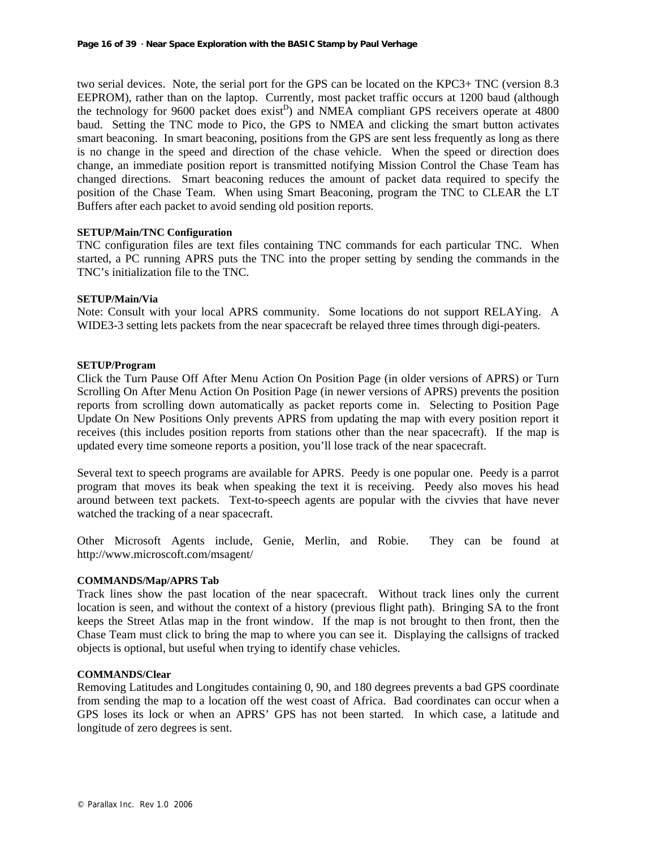two serial devices. Note, the serial port for the GPS can be located on the KPC3+ TNC (version 8.3 EEPROM), rather than on the laptop. Currently, most packet traffic occurs at 1200 baud (although the technology for 9600 packet does  $exist^D$ ) and NMEA compliant GPS receivers operate at 4800 baud. Setting the TNC mode to Pico, the GPS to NMEA and clicking the smart button activates smart beaconing. In smart beaconing, positions from the GPS are sent less frequently as long as there is no change in the speed and direction of the chase vehicle. When the speed or direction does change, an immediate position report is transmitted notifying Mission Control the Chase Team has changed directions. Smart beaconing reduces the amount of packet data required to specify the position of the Chase Team. When using Smart Beaconing, program the TNC to CLEAR the LT Buffers after each packet to avoid sending old position reports.

#### **SETUP/Main/TNC Configuration**

TNC configuration files are text files containing TNC commands for each particular TNC. When started, a PC running APRS puts the TNC into the proper setting by sending the commands in the TNC's initialization file to the TNC.

#### **SETUP/Main/Via**

Note: Consult with your local APRS community. Some locations do not support RELAYing. A WIDE3-3 setting lets packets from the near spacecraft be relayed three times through digi-peaters.

#### **SETUP/Program**

Click the Turn Pause Off After Menu Action On Position Page (in older versions of APRS) or Turn Scrolling On After Menu Action On Position Page (in newer versions of APRS) prevents the position reports from scrolling down automatically as packet reports come in. Selecting to Position Page Update On New Positions Only prevents APRS from updating the map with every position report it receives (this includes position reports from stations other than the near spacecraft). If the map is updated every time someone reports a position, you'll lose track of the near spacecraft.

Several text to speech programs are available for APRS. Peedy is one popular one. Peedy is a parrot program that moves its beak when speaking the text it is receiving. Peedy also moves his head around between text packets. Text-to-speech agents are popular with the civvies that have never watched the tracking of a near spacecraft.

Other Microsoft Agents include, Genie, Merlin, and Robie. They can be found at http://www.microscoft.com/msagent/

#### **COMMANDS/Map/APRS Tab**

Track lines show the past location of the near spacecraft. Without track lines only the current location is seen, and without the context of a history (previous flight path). Bringing SA to the front keeps the Street Atlas map in the front window. If the map is not brought to then front, then the Chase Team must click to bring the map to where you can see it. Displaying the callsigns of tracked objects is optional, but useful when trying to identify chase vehicles.

#### **COMMANDS/Clear**

Removing Latitudes and Longitudes containing 0, 90, and 180 degrees prevents a bad GPS coordinate from sending the map to a location off the west coast of Africa. Bad coordinates can occur when a GPS loses its lock or when an APRS' GPS has not been started. In which case, a latitude and longitude of zero degrees is sent.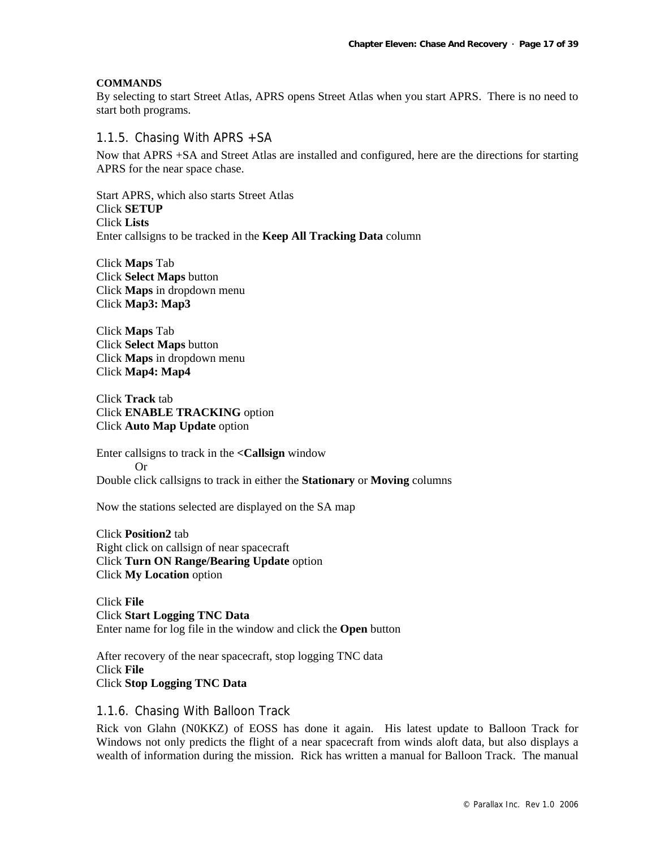#### **COMMANDS**

By selecting to start Street Atlas, APRS opens Street Atlas when you start APRS. There is no need to start both programs.

1.1.5. Chasing With APRS +SA

Now that APRS +SA and Street Atlas are installed and configured, here are the directions for starting APRS for the near space chase.

Start APRS, which also starts Street Atlas Click **SETUP** Click **Lists** Enter callsigns to be tracked in the **Keep All Tracking Data** column

Click **Maps** Tab Click **Select Maps** button Click **Maps** in dropdown menu Click **Map3: Map3**

Click **Maps** Tab Click **Select Maps** button Click **Maps** in dropdown menu Click **Map4: Map4**

Click **Track** tab Click **ENABLE TRACKING** option Click **Auto Map Update** option

Enter callsigns to track in the **<Callsign** window Or Double click callsigns to track in either the **Stationary** or **Moving** columns

Now the stations selected are displayed on the SA map

Click **Position2** tab Right click on callsign of near spacecraft Click **Turn ON Range/Bearing Update** option Click **My Location** option

Click **File** Click **Start Logging TNC Data** Enter name for log file in the window and click the **Open** button

After recovery of the near spacecraft, stop logging TNC data Click **File** Click **Stop Logging TNC Data**

#### 1.1.6. Chasing With Balloon Track

Rick von Glahn (N0KKZ) of EOSS has done it again. His latest update to Balloon Track for Windows not only predicts the flight of a near spacecraft from winds aloft data, but also displays a wealth of information during the mission. Rick has written a manual for Balloon Track. The manual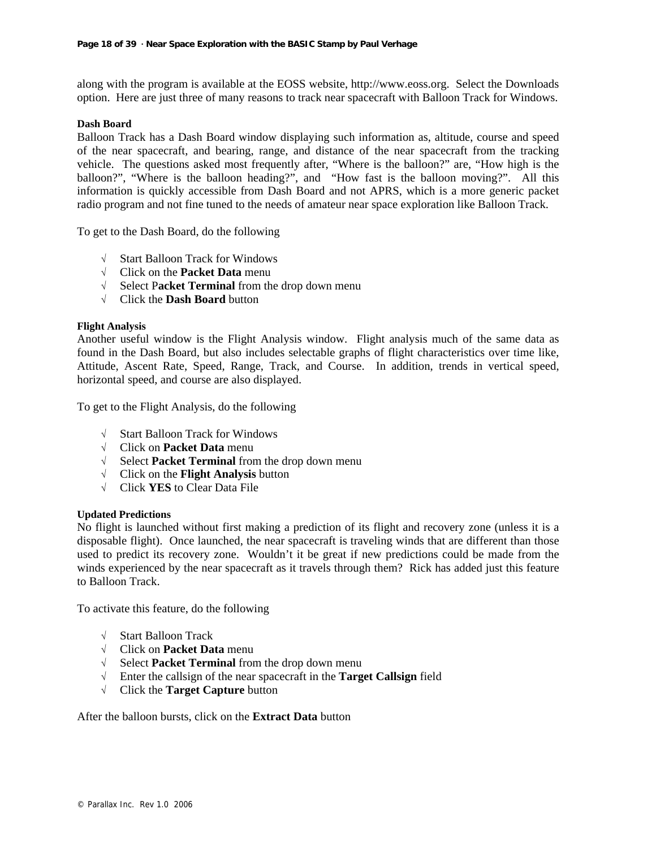along with the program is available at the EOSS website, http://www.eoss.org. Select the Downloads option. Here are just three of many reasons to track near spacecraft with Balloon Track for Windows.

#### **Dash Board**

Balloon Track has a Dash Board window displaying such information as, altitude, course and speed of the near spacecraft, and bearing, range, and distance of the near spacecraft from the tracking vehicle. The questions asked most frequently after, "Where is the balloon?" are, "How high is the balloon?", "Where is the balloon heading?", and "How fast is the balloon moving?". All this information is quickly accessible from Dash Board and not APRS, which is a more generic packet radio program and not fine tuned to the needs of amateur near space exploration like Balloon Track.

To get to the Dash Board, do the following

- √ Start Balloon Track for Windows
- √ Click on the **Packet Data** menu
- √ Select P**acket Terminal** from the drop down menu
- √ Click the **Dash Board** button

#### **Flight Analysis**

Another useful window is the Flight Analysis window. Flight analysis much of the same data as found in the Dash Board, but also includes selectable graphs of flight characteristics over time like, Attitude, Ascent Rate, Speed, Range, Track, and Course. In addition, trends in vertical speed, horizontal speed, and course are also displayed.

To get to the Flight Analysis, do the following

- √ Start Balloon Track for Windows
- √ Click on **Packet Data** menu
- √ Select **Packet Terminal** from the drop down menu
- √ Click on the **Flight Analysis** button
- √ Click **YES** to Clear Data File

#### **Updated Predictions**

No flight is launched without first making a prediction of its flight and recovery zone (unless it is a disposable flight). Once launched, the near spacecraft is traveling winds that are different than those used to predict its recovery zone. Wouldn't it be great if new predictions could be made from the winds experienced by the near spacecraft as it travels through them? Rick has added just this feature to Balloon Track.

To activate this feature, do the following

- √ Start Balloon Track
- √ Click on **Packet Data** menu
- √ Select **Packet Terminal** from the drop down menu
- √ Enter the callsign of the near spacecraft in the **Target Callsign** field
- √ Click the **Target Capture** button

#### After the balloon bursts, click on the **Extract Data** button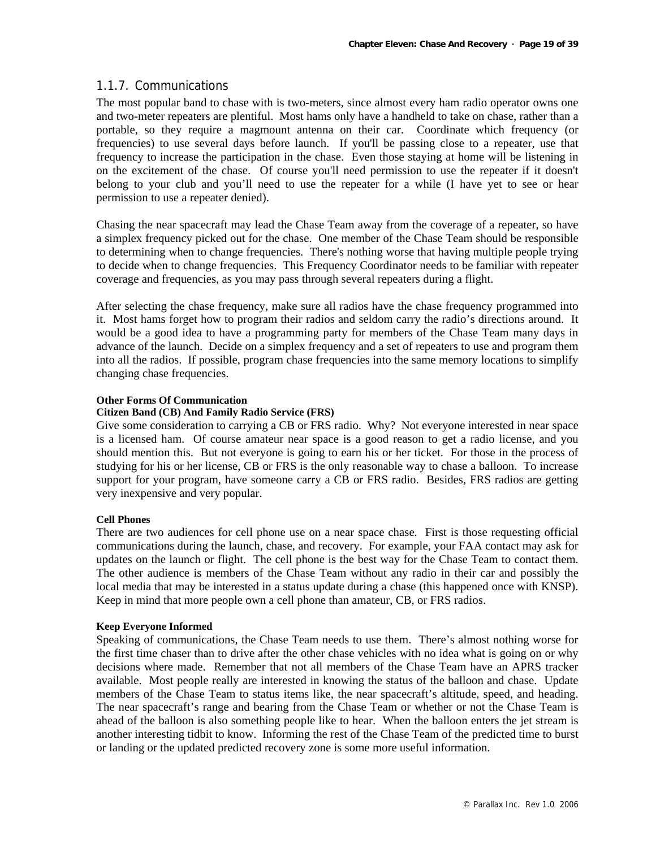## 1.1.7. Communications

The most popular band to chase with is two-meters, since almost every ham radio operator owns one and two-meter repeaters are plentiful. Most hams only have a handheld to take on chase, rather than a portable, so they require a magmount antenna on their car. Coordinate which frequency (or frequencies) to use several days before launch. If you'll be passing close to a repeater, use that frequency to increase the participation in the chase. Even those staying at home will be listening in on the excitement of the chase. Of course you'll need permission to use the repeater if it doesn't belong to your club and you'll need to use the repeater for a while (I have yet to see or hear permission to use a repeater denied).

Chasing the near spacecraft may lead the Chase Team away from the coverage of a repeater, so have a simplex frequency picked out for the chase. One member of the Chase Team should be responsible to determining when to change frequencies. There's nothing worse that having multiple people trying to decide when to change frequencies. This Frequency Coordinator needs to be familiar with repeater coverage and frequencies, as you may pass through several repeaters during a flight.

After selecting the chase frequency, make sure all radios have the chase frequency programmed into it. Most hams forget how to program their radios and seldom carry the radio's directions around. It would be a good idea to have a programming party for members of the Chase Team many days in advance of the launch. Decide on a simplex frequency and a set of repeaters to use and program them into all the radios. If possible, program chase frequencies into the same memory locations to simplify changing chase frequencies.

#### **Other Forms Of Communication**

#### **Citizen Band (CB) And Family Radio Service (FRS)**

Give some consideration to carrying a CB or FRS radio. Why? Not everyone interested in near space is a licensed ham. Of course amateur near space is a good reason to get a radio license, and you should mention this. But not everyone is going to earn his or her ticket. For those in the process of studying for his or her license, CB or FRS is the only reasonable way to chase a balloon. To increase support for your program, have someone carry a CB or FRS radio. Besides, FRS radios are getting very inexpensive and very popular.

#### **Cell Phones**

There are two audiences for cell phone use on a near space chase. First is those requesting official communications during the launch, chase, and recovery. For example, your FAA contact may ask for updates on the launch or flight. The cell phone is the best way for the Chase Team to contact them. The other audience is members of the Chase Team without any radio in their car and possibly the local media that may be interested in a status update during a chase (this happened once with KNSP). Keep in mind that more people own a cell phone than amateur, CB, or FRS radios.

#### **Keep Everyone Informed**

Speaking of communications, the Chase Team needs to use them. There's almost nothing worse for the first time chaser than to drive after the other chase vehicles with no idea what is going on or why decisions where made. Remember that not all members of the Chase Team have an APRS tracker available. Most people really are interested in knowing the status of the balloon and chase. Update members of the Chase Team to status items like, the near spacecraft's altitude, speed, and heading. The near spacecraft's range and bearing from the Chase Team or whether or not the Chase Team is ahead of the balloon is also something people like to hear. When the balloon enters the jet stream is another interesting tidbit to know. Informing the rest of the Chase Team of the predicted time to burst or landing or the updated predicted recovery zone is some more useful information.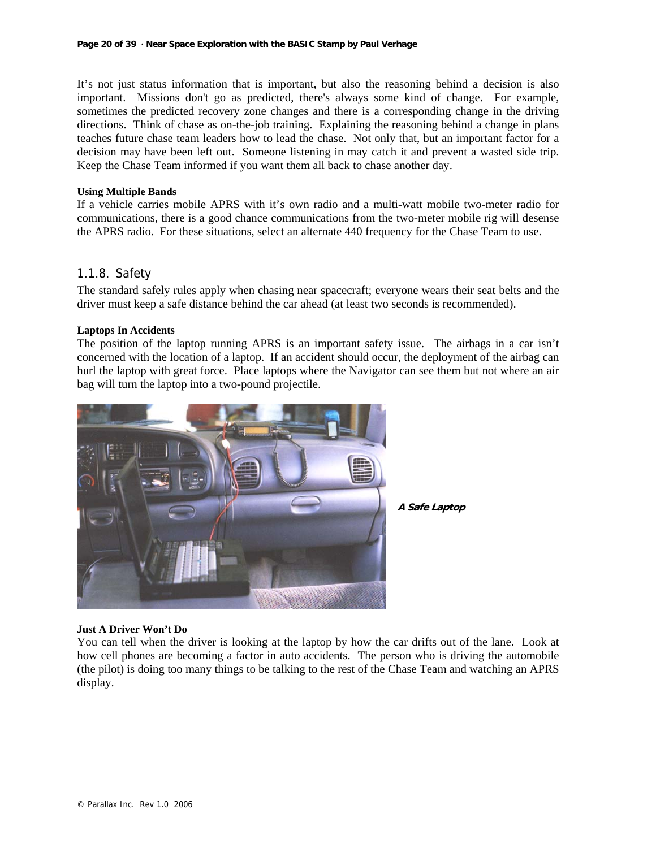It's not just status information that is important, but also the reasoning behind a decision is also important. Missions don't go as predicted, there's always some kind of change. For example, sometimes the predicted recovery zone changes and there is a corresponding change in the driving directions. Think of chase as on-the-job training. Explaining the reasoning behind a change in plans teaches future chase team leaders how to lead the chase. Not only that, but an important factor for a decision may have been left out. Someone listening in may catch it and prevent a wasted side trip. Keep the Chase Team informed if you want them all back to chase another day.

#### **Using Multiple Bands**

If a vehicle carries mobile APRS with it's own radio and a multi-watt mobile two-meter radio for communications, there is a good chance communications from the two-meter mobile rig will desense the APRS radio. For these situations, select an alternate 440 frequency for the Chase Team to use.

## 1.1.8. Safety

The standard safely rules apply when chasing near spacecraft; everyone wears their seat belts and the driver must keep a safe distance behind the car ahead (at least two seconds is recommended).

#### **Laptops In Accidents**

The position of the laptop running APRS is an important safety issue. The airbags in a car isn't concerned with the location of a laptop. If an accident should occur, the deployment of the airbag can hurl the laptop with great force. Place laptops where the Navigator can see them but not where an air bag will turn the laptop into a two-pound projectile.



**A Safe Laptop**

#### **Just A Driver Won't Do**

You can tell when the driver is looking at the laptop by how the car drifts out of the lane. Look at how cell phones are becoming a factor in auto accidents. The person who is driving the automobile (the pilot) is doing too many things to be talking to the rest of the Chase Team and watching an APRS display.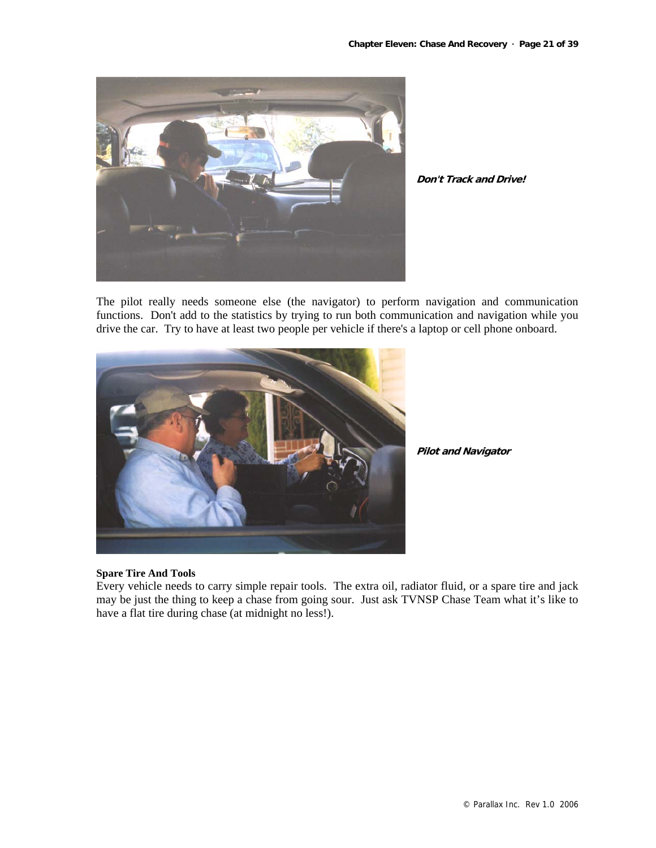

**Don't Track and Drive!**

The pilot really needs someone else (the navigator) to perform navigation and communication functions. Don't add to the statistics by trying to run both communication and navigation while you drive the car. Try to have at least two people per vehicle if there's a laptop or cell phone onboard.



**Pilot and Navigator** 

#### **Spare Tire And Tools**

Every vehicle needs to carry simple repair tools. The extra oil, radiator fluid, or a spare tire and jack may be just the thing to keep a chase from going sour. Just ask TVNSP Chase Team what it's like to have a flat tire during chase (at midnight no less!).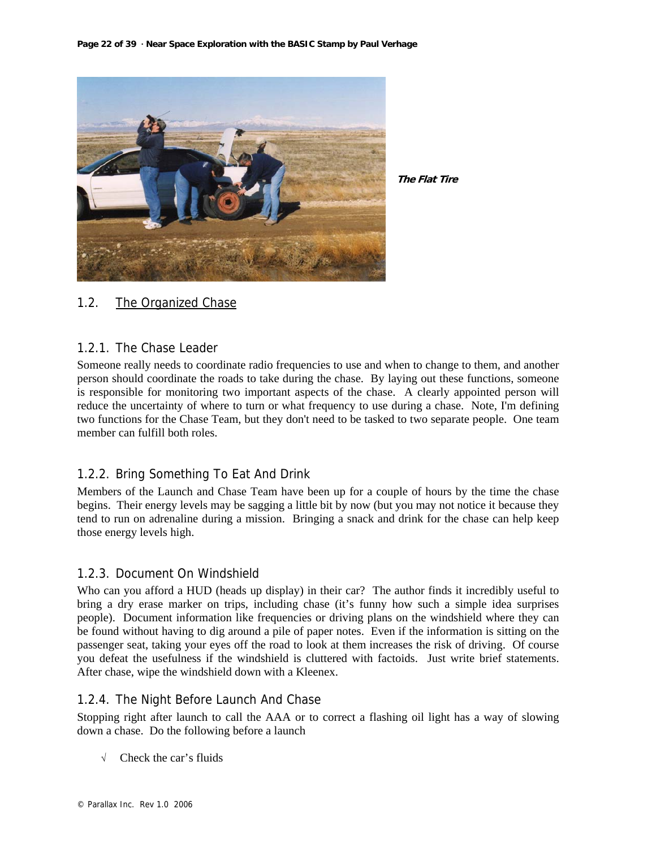

**The Flat Tire**

## 1.2. The Organized Chase

## 1.2.1. The Chase Leader

Someone really needs to coordinate radio frequencies to use and when to change to them, and another person should coordinate the roads to take during the chase. By laying out these functions, someone is responsible for monitoring two important aspects of the chase. A clearly appointed person will reduce the uncertainty of where to turn or what frequency to use during a chase. Note, I'm defining two functions for the Chase Team, but they don't need to be tasked to two separate people. One team member can fulfill both roles.

## 1.2.2. Bring Something To Eat And Drink

Members of the Launch and Chase Team have been up for a couple of hours by the time the chase begins. Their energy levels may be sagging a little bit by now (but you may not notice it because they tend to run on adrenaline during a mission. Bringing a snack and drink for the chase can help keep those energy levels high.

## 1.2.3. Document On Windshield

Who can you afford a HUD (heads up display) in their car? The author finds it incredibly useful to bring a dry erase marker on trips, including chase (it's funny how such a simple idea surprises people). Document information like frequencies or driving plans on the windshield where they can be found without having to dig around a pile of paper notes. Even if the information is sitting on the passenger seat, taking your eyes off the road to look at them increases the risk of driving. Of course you defeat the usefulness if the windshield is cluttered with factoids. Just write brief statements. After chase, wipe the windshield down with a Kleenex.

## 1.2.4. The Night Before Launch And Chase

Stopping right after launch to call the AAA or to correct a flashing oil light has a way of slowing down a chase. Do the following before a launch

√ Check the car's fluids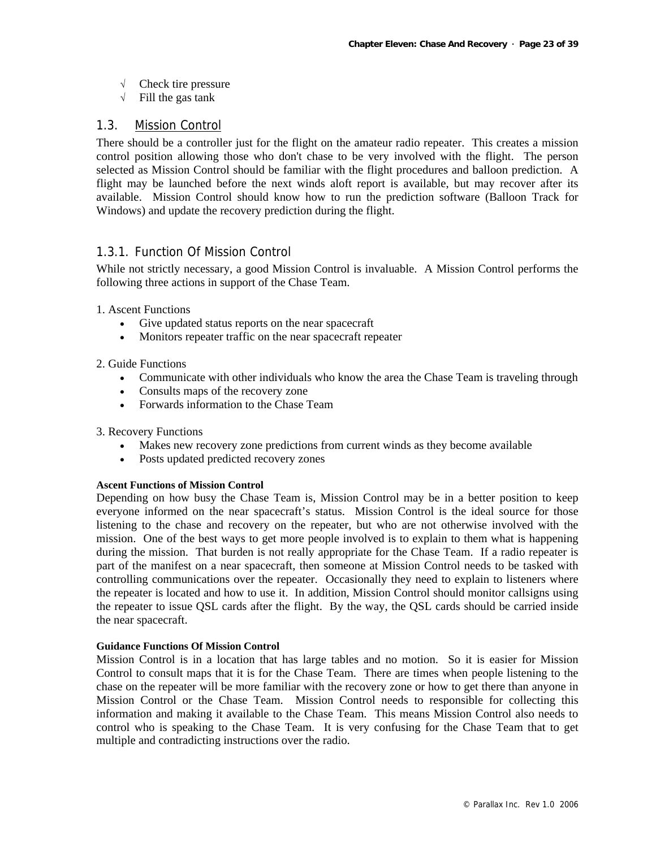- $\sqrt{\phantom{a}}$  Check tire pressure
- √ Fill the gas tank

## 1.3. Mission Control

There should be a controller just for the flight on the amateur radio repeater. This creates a mission control position allowing those who don't chase to be very involved with the flight. The person selected as Mission Control should be familiar with the flight procedures and balloon prediction. A flight may be launched before the next winds aloft report is available, but may recover after its available. Mission Control should know how to run the prediction software (Balloon Track for Windows) and update the recovery prediction during the flight.

## 1.3.1. Function Of Mission Control

While not strictly necessary, a good Mission Control is invaluable. A Mission Control performs the following three actions in support of the Chase Team.

1. Ascent Functions

- Give updated status reports on the near spacecraft
- Monitors repeater traffic on the near spacecraft repeater

#### 2. Guide Functions

- Communicate with other individuals who know the area the Chase Team is traveling through
- Consults maps of the recovery zone
- Forwards information to the Chase Team

#### 3. Recovery Functions

- Makes new recovery zone predictions from current winds as they become available
- Posts updated predicted recovery zones

#### **Ascent Functions of Mission Control**

Depending on how busy the Chase Team is, Mission Control may be in a better position to keep everyone informed on the near spacecraft's status. Mission Control is the ideal source for those listening to the chase and recovery on the repeater, but who are not otherwise involved with the mission. One of the best ways to get more people involved is to explain to them what is happening during the mission. That burden is not really appropriate for the Chase Team. If a radio repeater is part of the manifest on a near spacecraft, then someone at Mission Control needs to be tasked with controlling communications over the repeater. Occasionally they need to explain to listeners where the repeater is located and how to use it. In addition, Mission Control should monitor callsigns using the repeater to issue QSL cards after the flight. By the way, the QSL cards should be carried inside the near spacecraft.

#### **Guidance Functions Of Mission Control**

Mission Control is in a location that has large tables and no motion. So it is easier for Mission Control to consult maps that it is for the Chase Team. There are times when people listening to the chase on the repeater will be more familiar with the recovery zone or how to get there than anyone in Mission Control or the Chase Team. Mission Control needs to responsible for collecting this information and making it available to the Chase Team. This means Mission Control also needs to control who is speaking to the Chase Team. It is very confusing for the Chase Team that to get multiple and contradicting instructions over the radio.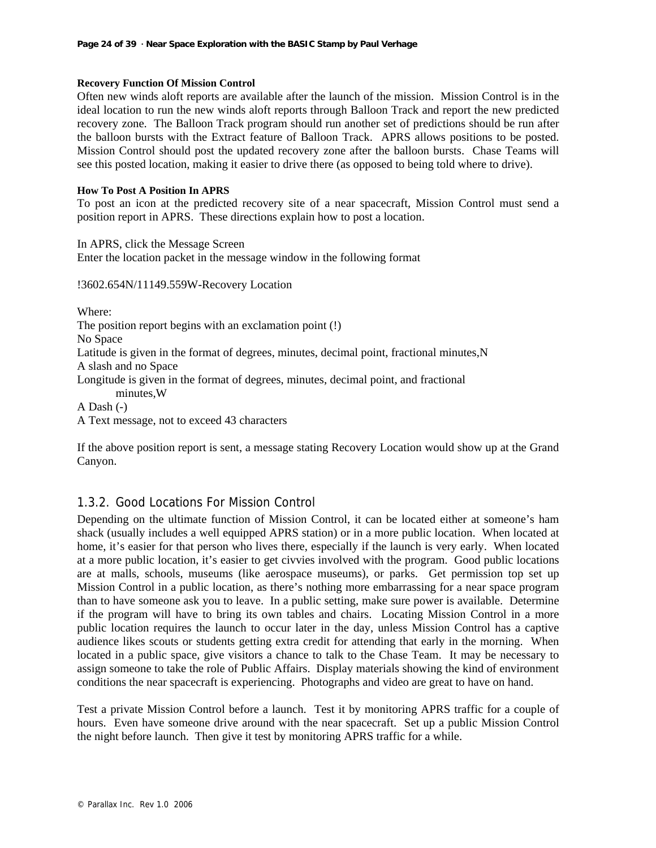#### **Recovery Function Of Mission Control**

Often new winds aloft reports are available after the launch of the mission. Mission Control is in the ideal location to run the new winds aloft reports through Balloon Track and report the new predicted recovery zone. The Balloon Track program should run another set of predictions should be run after the balloon bursts with the Extract feature of Balloon Track. APRS allows positions to be posted. Mission Control should post the updated recovery zone after the balloon bursts. Chase Teams will see this posted location, making it easier to drive there (as opposed to being told where to drive).

#### **How To Post A Position In APRS**

To post an icon at the predicted recovery site of a near spacecraft, Mission Control must send a position report in APRS. These directions explain how to post a location.

In APRS, click the Message Screen Enter the location packet in the message window in the following format

!3602.654N/11149.559W-Recovery Location

Where:

The position report begins with an exclamation point (!)

No Space

Latitude is given in the format of degrees, minutes, decimal point, fractional minutes,N A slash and no Space

Longitude is given in the format of degrees, minutes, decimal point, and fractional

 minutes,W A Dash (-)

A Text message, not to exceed 43 characters

If the above position report is sent, a message stating Recovery Location would show up at the Grand Canyon.

## 1.3.2. Good Locations For Mission Control

Depending on the ultimate function of Mission Control, it can be located either at someone's ham shack (usually includes a well equipped APRS station) or in a more public location. When located at home, it's easier for that person who lives there, especially if the launch is very early. When located at a more public location, it's easier to get civvies involved with the program. Good public locations are at malls, schools, museums (like aerospace museums), or parks. Get permission top set up Mission Control in a public location, as there's nothing more embarrassing for a near space program than to have someone ask you to leave. In a public setting, make sure power is available. Determine if the program will have to bring its own tables and chairs. Locating Mission Control in a more public location requires the launch to occur later in the day, unless Mission Control has a captive audience likes scouts or students getting extra credit for attending that early in the morning. When located in a public space, give visitors a chance to talk to the Chase Team. It may be necessary to assign someone to take the role of Public Affairs. Display materials showing the kind of environment conditions the near spacecraft is experiencing. Photographs and video are great to have on hand.

Test a private Mission Control before a launch. Test it by monitoring APRS traffic for a couple of hours. Even have someone drive around with the near spacecraft. Set up a public Mission Control the night before launch. Then give it test by monitoring APRS traffic for a while.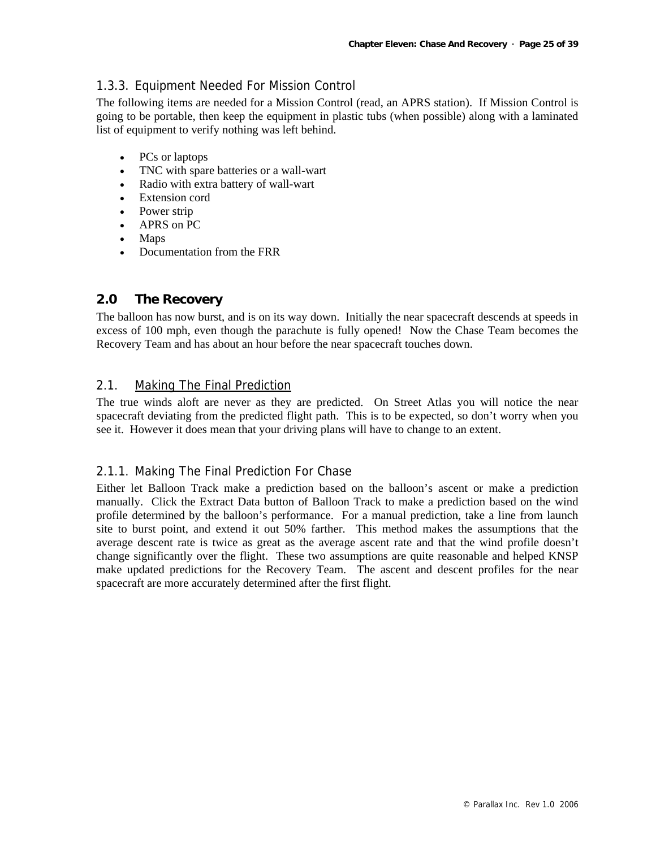## 1.3.3. Equipment Needed For Mission Control

The following items are needed for a Mission Control (read, an APRS station). If Mission Control is going to be portable, then keep the equipment in plastic tubs (when possible) along with a laminated list of equipment to verify nothing was left behind.

- PCs or laptops
- TNC with spare batteries or a wall-wart
- Radio with extra battery of wall-wart
- Extension cord
- Power strip
- APRS on PC
- Maps
- Documentation from the FRR

## **2.0 The Recovery**

The balloon has now burst, and is on its way down. Initially the near spacecraft descends at speeds in excess of 100 mph, even though the parachute is fully opened! Now the Chase Team becomes the Recovery Team and has about an hour before the near spacecraft touches down.

## 2.1. Making The Final Prediction

The true winds aloft are never as they are predicted. On Street Atlas you will notice the near spacecraft deviating from the predicted flight path. This is to be expected, so don't worry when you see it. However it does mean that your driving plans will have to change to an extent.

## 2.1.1. Making The Final Prediction For Chase

Either let Balloon Track make a prediction based on the balloon's ascent or make a prediction manually. Click the Extract Data button of Balloon Track to make a prediction based on the wind profile determined by the balloon's performance. For a manual prediction, take a line from launch site to burst point, and extend it out 50% farther. This method makes the assumptions that the average descent rate is twice as great as the average ascent rate and that the wind profile doesn't change significantly over the flight. These two assumptions are quite reasonable and helped KNSP make updated predictions for the Recovery Team. The ascent and descent profiles for the near spacecraft are more accurately determined after the first flight.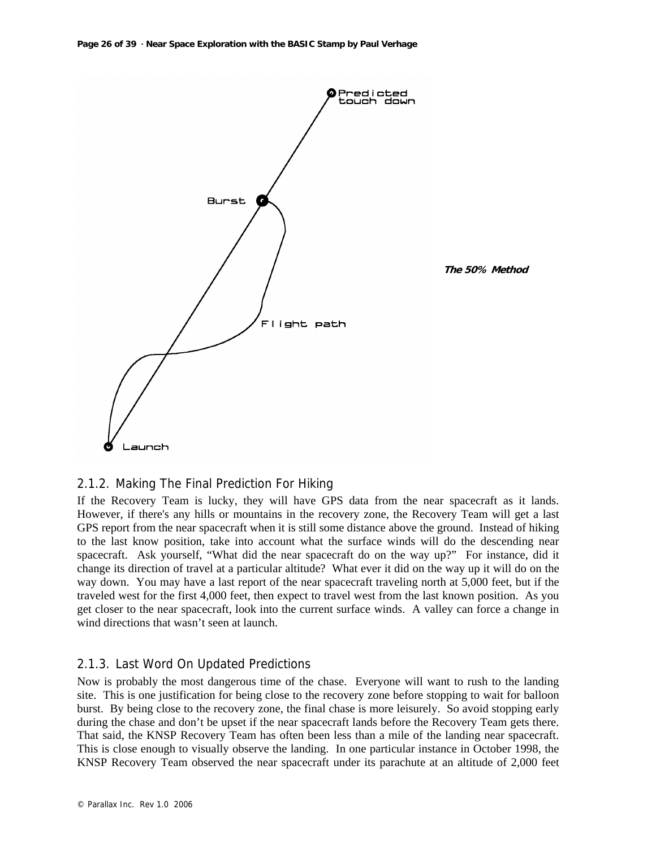**Page 26 of 39 · Near Space Exploration with the BASIC Stamp by Paul Verhage**



## 2.1.2. Making The Final Prediction For Hiking

If the Recovery Team is lucky, they will have GPS data from the near spacecraft as it lands. However, if there's any hills or mountains in the recovery zone, the Recovery Team will get a last GPS report from the near spacecraft when it is still some distance above the ground. Instead of hiking to the last know position, take into account what the surface winds will do the descending near spacecraft. Ask yourself, "What did the near spacecraft do on the way up?" For instance, did it change its direction of travel at a particular altitude? What ever it did on the way up it will do on the way down. You may have a last report of the near spacecraft traveling north at 5,000 feet, but if the traveled west for the first 4,000 feet, then expect to travel west from the last known position. As you get closer to the near spacecraft, look into the current surface winds. A valley can force a change in wind directions that wasn't seen at launch.

## 2.1.3. Last Word On Updated Predictions

Now is probably the most dangerous time of the chase. Everyone will want to rush to the landing site. This is one justification for being close to the recovery zone before stopping to wait for balloon burst. By being close to the recovery zone, the final chase is more leisurely. So avoid stopping early during the chase and don't be upset if the near spacecraft lands before the Recovery Team gets there. That said, the KNSP Recovery Team has often been less than a mile of the landing near spacecraft. This is close enough to visually observe the landing. In one particular instance in October 1998, the KNSP Recovery Team observed the near spacecraft under its parachute at an altitude of 2,000 feet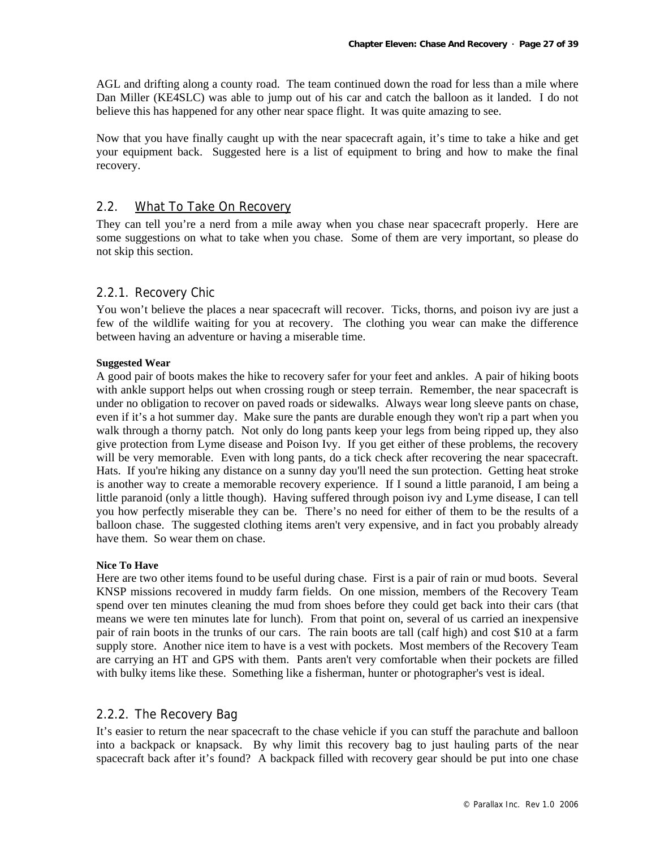AGL and drifting along a county road. The team continued down the road for less than a mile where Dan Miller (KE4SLC) was able to jump out of his car and catch the balloon as it landed. I do not believe this has happened for any other near space flight. It was quite amazing to see.

Now that you have finally caught up with the near spacecraft again, it's time to take a hike and get your equipment back. Suggested here is a list of equipment to bring and how to make the final recovery.

## 2.2. What To Take On Recovery

They can tell you're a nerd from a mile away when you chase near spacecraft properly. Here are some suggestions on what to take when you chase. Some of them are very important, so please do not skip this section.

## 2.2.1. Recovery Chic

You won't believe the places a near spacecraft will recover. Ticks, thorns, and poison ivy are just a few of the wildlife waiting for you at recovery. The clothing you wear can make the difference between having an adventure or having a miserable time.

#### **Suggested Wear**

A good pair of boots makes the hike to recovery safer for your feet and ankles. A pair of hiking boots with ankle support helps out when crossing rough or steep terrain. Remember, the near spacecraft is under no obligation to recover on paved roads or sidewalks. Always wear long sleeve pants on chase, even if it's a hot summer day. Make sure the pants are durable enough they won't rip a part when you walk through a thorny patch. Not only do long pants keep your legs from being ripped up, they also give protection from Lyme disease and Poison Ivy. If you get either of these problems, the recovery will be very memorable. Even with long pants, do a tick check after recovering the near spacecraft. Hats. If you're hiking any distance on a sunny day you'll need the sun protection. Getting heat stroke is another way to create a memorable recovery experience. If I sound a little paranoid, I am being a little paranoid (only a little though). Having suffered through poison ivy and Lyme disease, I can tell you how perfectly miserable they can be. There's no need for either of them to be the results of a balloon chase. The suggested clothing items aren't very expensive, and in fact you probably already have them. So wear them on chase.

#### **Nice To Have**

Here are two other items found to be useful during chase. First is a pair of rain or mud boots. Several KNSP missions recovered in muddy farm fields. On one mission, members of the Recovery Team spend over ten minutes cleaning the mud from shoes before they could get back into their cars (that means we were ten minutes late for lunch). From that point on, several of us carried an inexpensive pair of rain boots in the trunks of our cars. The rain boots are tall (calf high) and cost \$10 at a farm supply store. Another nice item to have is a vest with pockets. Most members of the Recovery Team are carrying an HT and GPS with them. Pants aren't very comfortable when their pockets are filled with bulky items like these. Something like a fisherman, hunter or photographer's vest is ideal.

## 2.2.2. The Recovery Bag

It's easier to return the near spacecraft to the chase vehicle if you can stuff the parachute and balloon into a backpack or knapsack. By why limit this recovery bag to just hauling parts of the near spacecraft back after it's found? A backpack filled with recovery gear should be put into one chase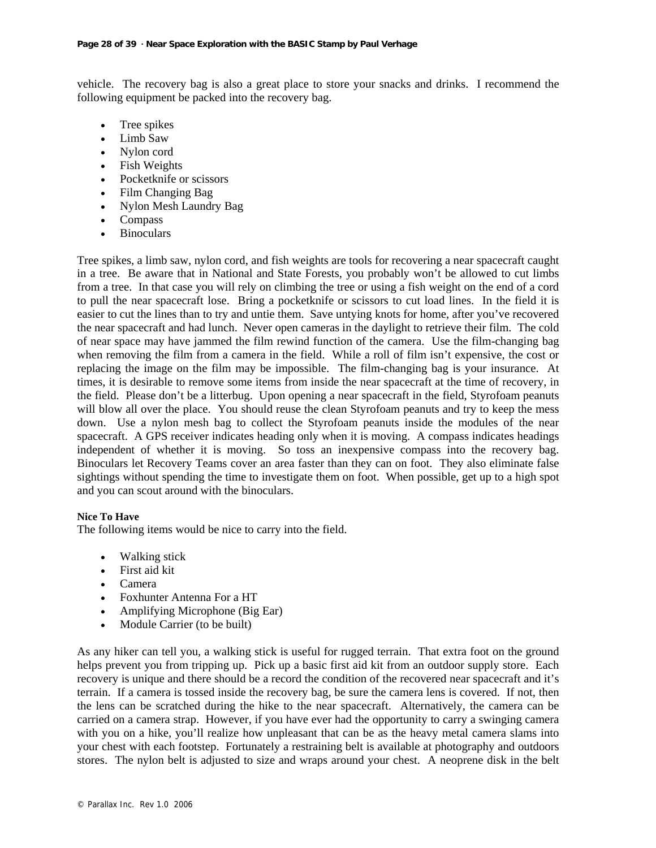vehicle. The recovery bag is also a great place to store your snacks and drinks. I recommend the following equipment be packed into the recovery bag.

- Tree spikes
- Limb Saw
- Nylon cord
- Fish Weights
- Pocketknife or scissors
- Film Changing Bag
- Nylon Mesh Laundry Bag
- Compass
- Binoculars

Tree spikes, a limb saw, nylon cord, and fish weights are tools for recovering a near spacecraft caught in a tree. Be aware that in National and State Forests, you probably won't be allowed to cut limbs from a tree. In that case you will rely on climbing the tree or using a fish weight on the end of a cord to pull the near spacecraft lose. Bring a pocketknife or scissors to cut load lines. In the field it is easier to cut the lines than to try and untie them. Save untying knots for home, after you've recovered the near spacecraft and had lunch. Never open cameras in the daylight to retrieve their film. The cold of near space may have jammed the film rewind function of the camera. Use the film-changing bag when removing the film from a camera in the field. While a roll of film isn't expensive, the cost or replacing the image on the film may be impossible. The film-changing bag is your insurance. At times, it is desirable to remove some items from inside the near spacecraft at the time of recovery, in the field. Please don't be a litterbug. Upon opening a near spacecraft in the field, Styrofoam peanuts will blow all over the place. You should reuse the clean Styrofoam peanuts and try to keep the mess down. Use a nylon mesh bag to collect the Styrofoam peanuts inside the modules of the near spacecraft. A GPS receiver indicates heading only when it is moving. A compass indicates headings independent of whether it is moving. So toss an inexpensive compass into the recovery bag. Binoculars let Recovery Teams cover an area faster than they can on foot. They also eliminate false sightings without spending the time to investigate them on foot. When possible, get up to a high spot and you can scout around with the binoculars.

#### **Nice To Have**

The following items would be nice to carry into the field.

- Walking stick
- First aid kit
- Camera
- Foxhunter Antenna For a HT
- Amplifying Microphone (Big Ear)
- Module Carrier (to be built)

As any hiker can tell you, a walking stick is useful for rugged terrain. That extra foot on the ground helps prevent you from tripping up. Pick up a basic first aid kit from an outdoor supply store. Each recovery is unique and there should be a record the condition of the recovered near spacecraft and it's terrain. If a camera is tossed inside the recovery bag, be sure the camera lens is covered. If not, then the lens can be scratched during the hike to the near spacecraft. Alternatively, the camera can be carried on a camera strap. However, if you have ever had the opportunity to carry a swinging camera with you on a hike, you'll realize how unpleasant that can be as the heavy metal camera slams into your chest with each footstep. Fortunately a restraining belt is available at photography and outdoors stores. The nylon belt is adjusted to size and wraps around your chest. A neoprene disk in the belt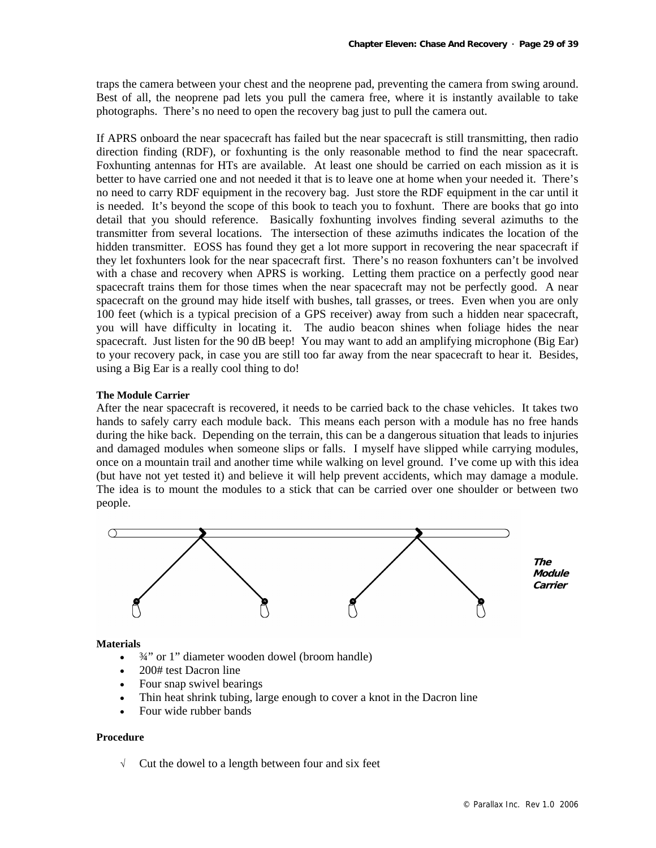traps the camera between your chest and the neoprene pad, preventing the camera from swing around. Best of all, the neoprene pad lets you pull the camera free, where it is instantly available to take photographs. There's no need to open the recovery bag just to pull the camera out.

If APRS onboard the near spacecraft has failed but the near spacecraft is still transmitting, then radio direction finding (RDF), or foxhunting is the only reasonable method to find the near spacecraft. Foxhunting antennas for HTs are available. At least one should be carried on each mission as it is better to have carried one and not needed it that is to leave one at home when your needed it. There's no need to carry RDF equipment in the recovery bag. Just store the RDF equipment in the car until it is needed. It's beyond the scope of this book to teach you to foxhunt. There are books that go into detail that you should reference. Basically foxhunting involves finding several azimuths to the transmitter from several locations. The intersection of these azimuths indicates the location of the hidden transmitter. EOSS has found they get a lot more support in recovering the near spacecraft if they let foxhunters look for the near spacecraft first. There's no reason foxhunters can't be involved with a chase and recovery when APRS is working. Letting them practice on a perfectly good near spacecraft trains them for those times when the near spacecraft may not be perfectly good. A near spacecraft on the ground may hide itself with bushes, tall grasses, or trees. Even when you are only 100 feet (which is a typical precision of a GPS receiver) away from such a hidden near spacecraft, you will have difficulty in locating it. The audio beacon shines when foliage hides the near spacecraft. Just listen for the 90 dB beep! You may want to add an amplifying microphone (Big Ear) to your recovery pack, in case you are still too far away from the near spacecraft to hear it. Besides, using a Big Ear is a really cool thing to do!

#### **The Module Carrier**

After the near spacecraft is recovered, it needs to be carried back to the chase vehicles. It takes two hands to safely carry each module back. This means each person with a module has no free hands during the hike back. Depending on the terrain, this can be a dangerous situation that leads to injuries and damaged modules when someone slips or falls. I myself have slipped while carrying modules, once on a mountain trail and another time while walking on level ground. I've come up with this idea (but have not yet tested it) and believe it will help prevent accidents, which may damage a module. The idea is to mount the modules to a stick that can be carried over one shoulder or between two people.



#### **Materials**

- ¾" or 1" diameter wooden dowel (broom handle)
- 200# test Dacron line
- Four snap swivel bearings
- Thin heat shrink tubing, large enough to cover a knot in the Dacron line
- Four wide rubber bands

#### **Procedure**

 $\sqrt{\phantom{a}}$  Cut the dowel to a length between four and six feet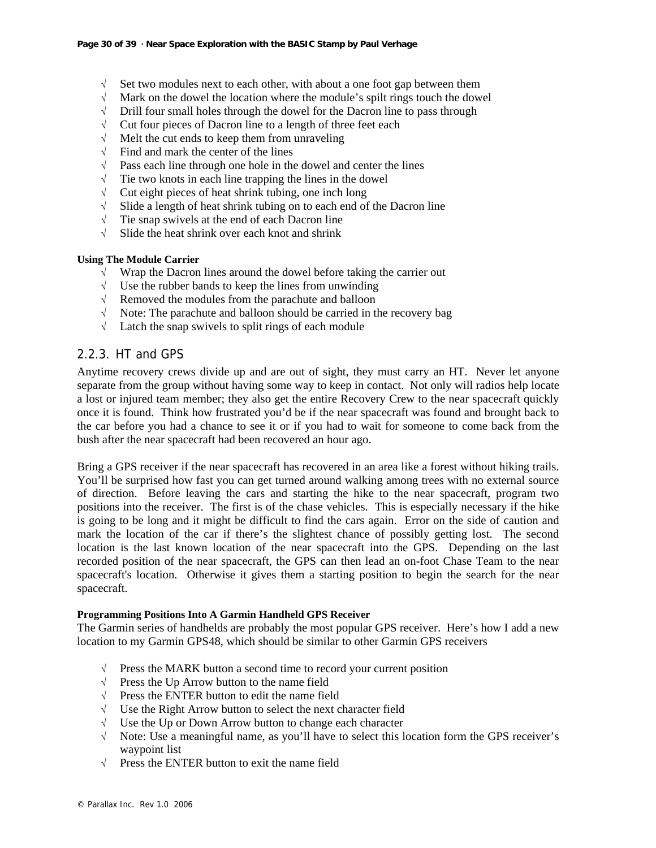- √ Set two modules next to each other, with about a one foot gap between them
- √ Mark on the dowel the location where the module's spilt rings touch the dowel
- $\sqrt{\phantom{a}}$  Drill four small holes through the dowel for the Dacron line to pass through  $\sqrt{\phantom{a}}$  Cut four pieces of Dacron line to a length of three feet each
- √ Cut four pieces of Dacron line to a length of three feet each
- √ Melt the cut ends to keep them from unraveling
- $\sqrt{\phantom{a}}$  Find and mark the center of the lines
- $\sqrt{\phantom{a}}$  Pass each line through one hole in the dowel and center the lines
- $\sqrt{\phantom{a}}$  Tie two knots in each line trapping the lines in the dowel
- √ Cut eight pieces of heat shrink tubing, one inch long
- √ Slide a length of heat shrink tubing on to each end of the Dacron line
- √ Tie snap swivels at the end of each Dacron line
- √ Slide the heat shrink over each knot and shrink

## **Using The Module Carrier**

- √ Wrap the Dacron lines around the dowel before taking the carrier out
- $\sqrt{\phantom{a}}$  Use the rubber bands to keep the lines from unwinding
- √ Removed the modules from the parachute and balloon
- √ Note: The parachute and balloon should be carried in the recovery bag
- √ Latch the snap swivels to split rings of each module

## 2.2.3. HT and GPS

Anytime recovery crews divide up and are out of sight, they must carry an HT. Never let anyone separate from the group without having some way to keep in contact. Not only will radios help locate a lost or injured team member; they also get the entire Recovery Crew to the near spacecraft quickly once it is found. Think how frustrated you'd be if the near spacecraft was found and brought back to the car before you had a chance to see it or if you had to wait for someone to come back from the bush after the near spacecraft had been recovered an hour ago.

Bring a GPS receiver if the near spacecraft has recovered in an area like a forest without hiking trails. You'll be surprised how fast you can get turned around walking among trees with no external source of direction. Before leaving the cars and starting the hike to the near spacecraft, program two positions into the receiver. The first is of the chase vehicles. This is especially necessary if the hike is going to be long and it might be difficult to find the cars again. Error on the side of caution and mark the location of the car if there's the slightest chance of possibly getting lost. The second location is the last known location of the near spacecraft into the GPS. Depending on the last recorded position of the near spacecraft, the GPS can then lead an on-foot Chase Team to the near spacecraft's location. Otherwise it gives them a starting position to begin the search for the near spacecraft.

#### **Programming Positions Into A Garmin Handheld GPS Receiver**

The Garmin series of handhelds are probably the most popular GPS receiver. Here's how I add a new location to my Garmin GPS48, which should be similar to other Garmin GPS receivers

- √ Press the MARK button a second time to record your current position
- √ Press the Up Arrow button to the name field
- √ Press the ENTER button to edit the name field
- √ Use the Right Arrow button to select the next character field
- √ Use the Up or Down Arrow button to change each character
- √ Note: Use a meaningful name, as you'll have to select this location form the GPS receiver's waypoint list
- √ Press the ENTER button to exit the name field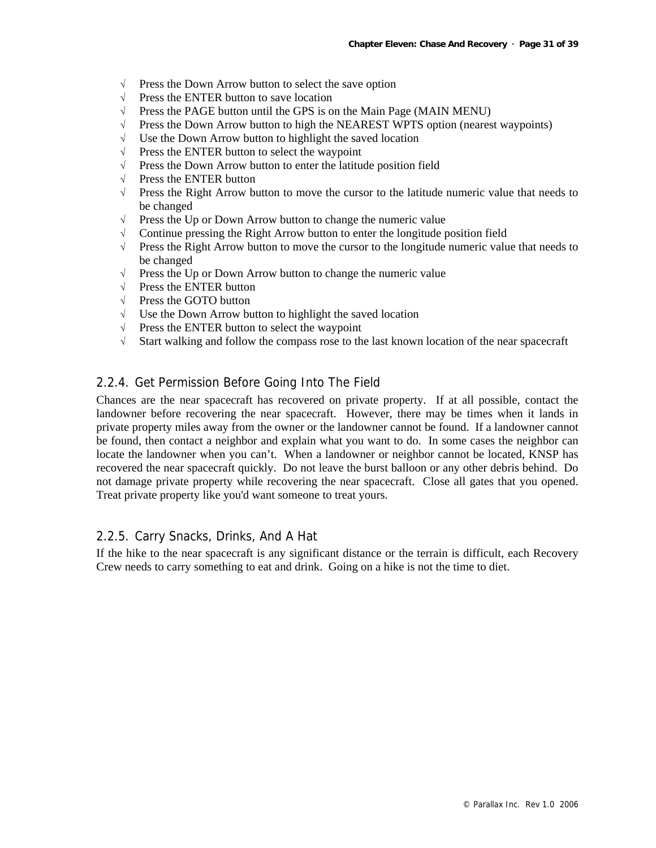- $\sqrt{\ }$  Press the Down Arrow button to select the save option  $\sqrt{\ }$  Press the ENTER button to save location
- Press the ENTER button to save location
- √ Press the PAGE button until the GPS is on the Main Page (MAIN MENU)
- √ Press the Down Arrow button to high the NEAREST WPTS option (nearest waypoints)
- √ Use the Down Arrow button to highlight the saved location
- √ Press the ENTER button to select the waypoint
- √ Press the Down Arrow button to enter the latitude position field
- $\sqrt{ }$  Press the ENTER button
- √ Press the Right Arrow button to move the cursor to the latitude numeric value that needs to be changed
- √ Press the Up or Down Arrow button to change the numeric value
- $\sqrt{\phantom{a}}$  Continue pressing the Right Arrow button to enter the longitude position field
- √ Press the Right Arrow button to move the cursor to the longitude numeric value that needs to be changed
- √ Press the Up or Down Arrow button to change the numeric value
- √ Press the ENTER button
- √ Press the GOTO button
- √ Use the Down Arrow button to highlight the saved location
- √ Press the ENTER button to select the waypoint
- √ Start walking and follow the compass rose to the last known location of the near spacecraft

## 2.2.4. Get Permission Before Going Into The Field

Chances are the near spacecraft has recovered on private property. If at all possible, contact the landowner before recovering the near spacecraft. However, there may be times when it lands in private property miles away from the owner or the landowner cannot be found. If a landowner cannot be found, then contact a neighbor and explain what you want to do. In some cases the neighbor can locate the landowner when you can't. When a landowner or neighbor cannot be located, KNSP has recovered the near spacecraft quickly. Do not leave the burst balloon or any other debris behind. Do not damage private property while recovering the near spacecraft. Close all gates that you opened. Treat private property like you'd want someone to treat yours.

## 2.2.5. Carry Snacks, Drinks, And A Hat

If the hike to the near spacecraft is any significant distance or the terrain is difficult, each Recovery Crew needs to carry something to eat and drink. Going on a hike is not the time to diet.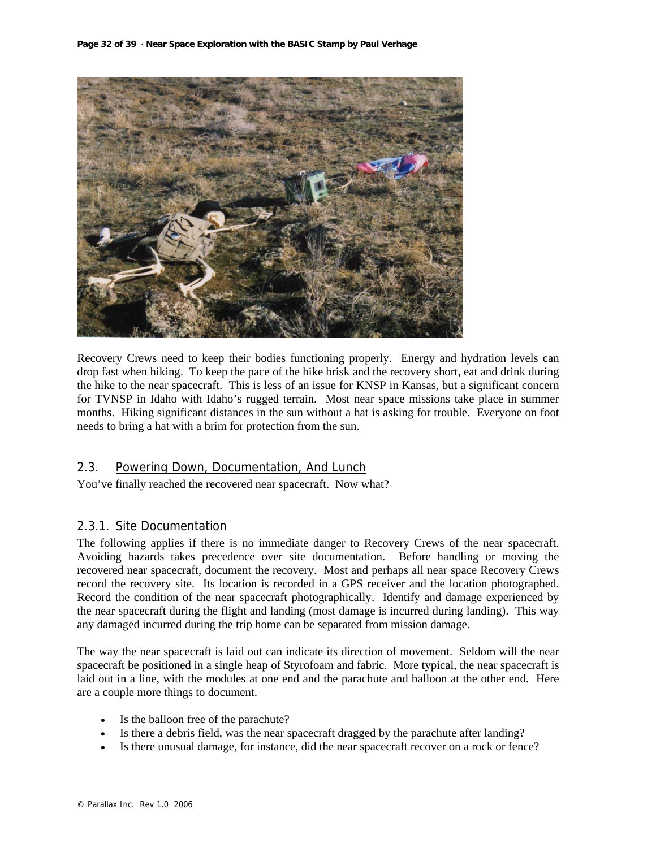

Recovery Crews need to keep their bodies functioning properly. Energy and hydration levels can drop fast when hiking. To keep the pace of the hike brisk and the recovery short, eat and drink during the hike to the near spacecraft. This is less of an issue for KNSP in Kansas, but a significant concern for TVNSP in Idaho with Idaho's rugged terrain. Most near space missions take place in summer months. Hiking significant distances in the sun without a hat is asking for trouble. Everyone on foot needs to bring a hat with a brim for protection from the sun.

## 2.3. Powering Down, Documentation, And Lunch

You've finally reached the recovered near spacecraft. Now what?

## 2.3.1. Site Documentation

The following applies if there is no immediate danger to Recovery Crews of the near spacecraft. Avoiding hazards takes precedence over site documentation. Before handling or moving the recovered near spacecraft, document the recovery. Most and perhaps all near space Recovery Crews record the recovery site. Its location is recorded in a GPS receiver and the location photographed. Record the condition of the near spacecraft photographically. Identify and damage experienced by the near spacecraft during the flight and landing (most damage is incurred during landing). This way any damaged incurred during the trip home can be separated from mission damage.

The way the near spacecraft is laid out can indicate its direction of movement. Seldom will the near spacecraft be positioned in a single heap of Styrofoam and fabric. More typical, the near spacecraft is laid out in a line, with the modules at one end and the parachute and balloon at the other end. Here are a couple more things to document.

- Is the balloon free of the parachute?
- Is there a debris field, was the near spacecraft dragged by the parachute after landing?
- Is there unusual damage, for instance, did the near spacecraft recover on a rock or fence?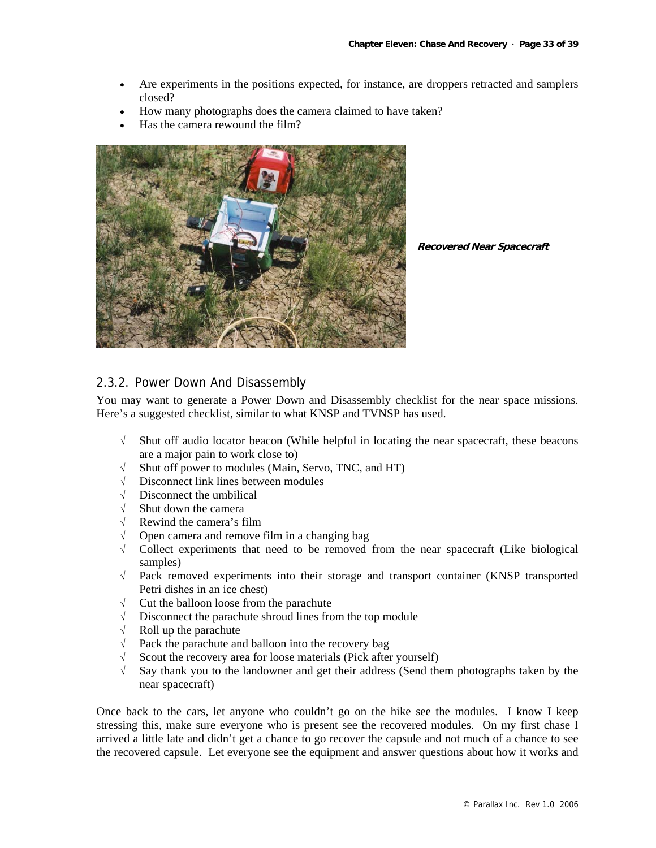- Are experiments in the positions expected, for instance, are droppers retracted and samplers closed?
- How many photographs does the camera claimed to have taken?
- Has the camera rewound the film?



**Recovered Near Spacecraft**

## 2.3.2. Power Down And Disassembly

You may want to generate a Power Down and Disassembly checklist for the near space missions. Here's a suggested checklist, similar to what KNSP and TVNSP has used.

- √ Shut off audio locator beacon (While helpful in locating the near spacecraft, these beacons are a major pain to work close to)
- √ Shut off power to modules (Main, Servo, TNC, and HT)
- √ Disconnect link lines between modules
- √ Disconnect the umbilical
- √ Shut down the camera
- √ Rewind the camera's film
- √ Open camera and remove film in a changing bag
- √ Collect experiments that need to be removed from the near spacecraft (Like biological samples)
- √ Pack removed experiments into their storage and transport container (KNSP transported Petri dishes in an ice chest)
- √ Cut the balloon loose from the parachute
- $\sqrt{\phantom{a}}$  Disconnect the parachute shroud lines from the top module
- √ Roll up the parachute
- $\sqrt{\phantom{a}}$  Pack the parachute and balloon into the recovery bag
- √ Scout the recovery area for loose materials (Pick after yourself)
- √ Say thank you to the landowner and get their address (Send them photographs taken by the near spacecraft)

Once back to the cars, let anyone who couldn't go on the hike see the modules. I know I keep stressing this, make sure everyone who is present see the recovered modules. On my first chase I arrived a little late and didn't get a chance to go recover the capsule and not much of a chance to see the recovered capsule. Let everyone see the equipment and answer questions about how it works and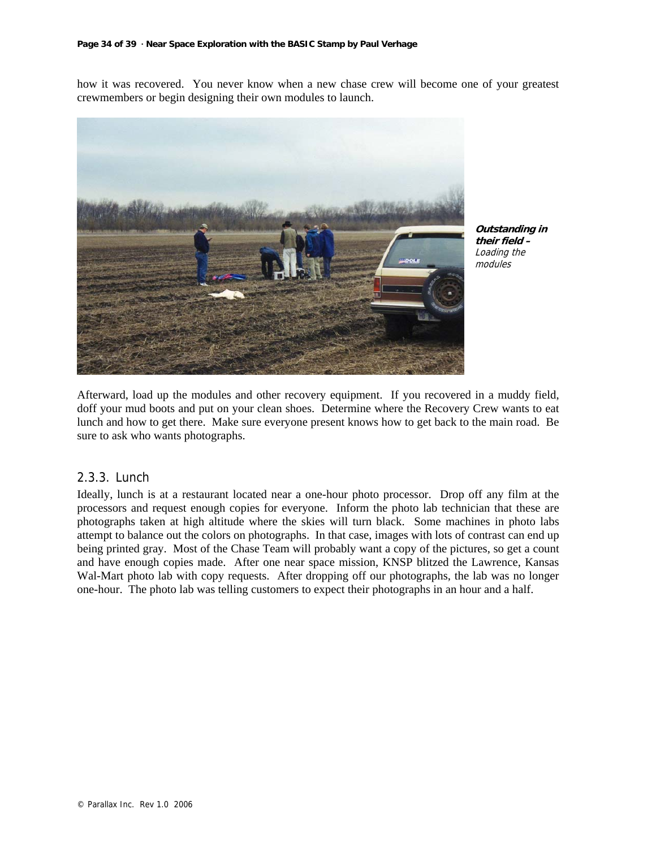how it was recovered. You never know when a new chase crew will become one of your greatest crewmembers or begin designing their own modules to launch.



**Outstanding in their field –**  Loading the modules

Afterward, load up the modules and other recovery equipment. If you recovered in a muddy field, doff your mud boots and put on your clean shoes. Determine where the Recovery Crew wants to eat lunch and how to get there. Make sure everyone present knows how to get back to the main road. Be sure to ask who wants photographs.

## 2.3.3. Lunch

Ideally, lunch is at a restaurant located near a one-hour photo processor. Drop off any film at the processors and request enough copies for everyone. Inform the photo lab technician that these are photographs taken at high altitude where the skies will turn black. Some machines in photo labs attempt to balance out the colors on photographs. In that case, images with lots of contrast can end up being printed gray. Most of the Chase Team will probably want a copy of the pictures, so get a count and have enough copies made. After one near space mission, KNSP blitzed the Lawrence, Kansas Wal-Mart photo lab with copy requests. After dropping off our photographs, the lab was no longer one-hour. The photo lab was telling customers to expect their photographs in an hour and a half.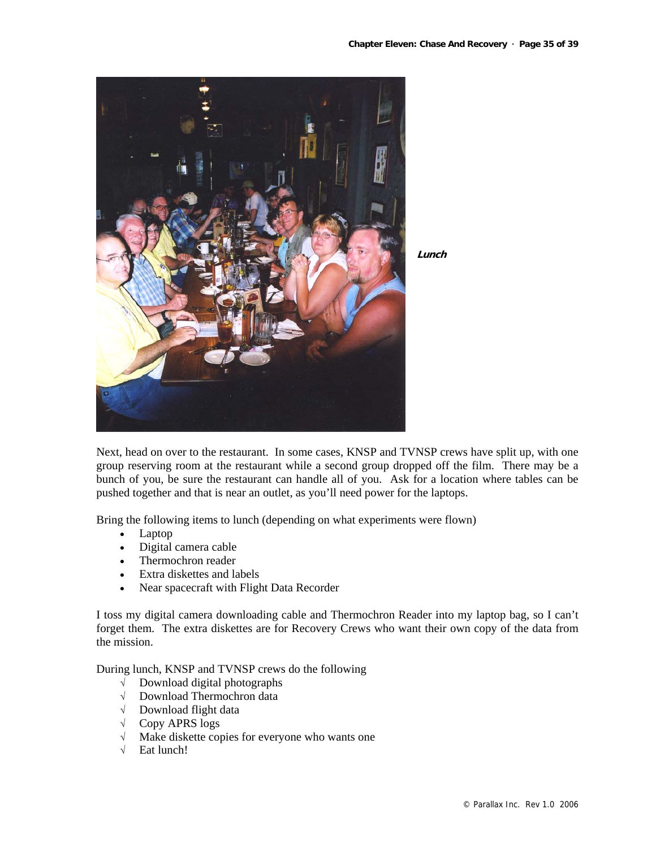

**Lunch**

Next, head on over to the restaurant. In some cases, KNSP and TVNSP crews have split up, with one group reserving room at the restaurant while a second group dropped off the film. There may be a bunch of you, be sure the restaurant can handle all of you. Ask for a location where tables can be pushed together and that is near an outlet, as you'll need power for the laptops.

Bring the following items to lunch (depending on what experiments were flown)

- Laptop
- Digital camera cable
- Thermochron reader
- Extra diskettes and labels
- Near spacecraft with Flight Data Recorder

I toss my digital camera downloading cable and Thermochron Reader into my laptop bag, so I can't forget them. The extra diskettes are for Recovery Crews who want their own copy of the data from the mission.

During lunch, KNSP and TVNSP crews do the following

- √ Download digital photographs
- √ Download Thermochron data
- √ Download flight data
- √ Copy APRS logs
- √ Make diskette copies for everyone who wants one
- √ Eat lunch!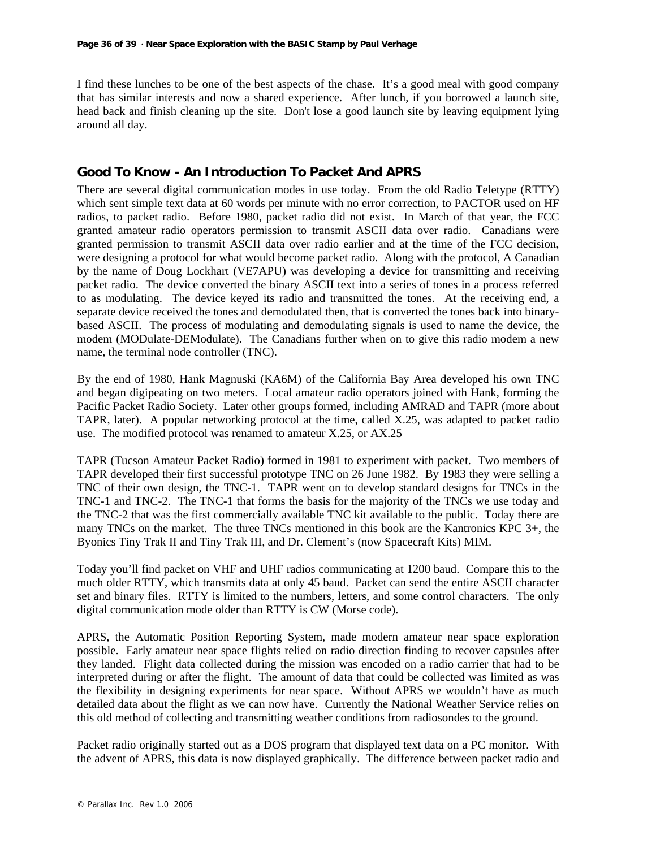I find these lunches to be one of the best aspects of the chase. It's a good meal with good company that has similar interests and now a shared experience. After lunch, if you borrowed a launch site, head back and finish cleaning up the site. Don't lose a good launch site by leaving equipment lying around all day.

## **Good To Know - An Introduction To Packet And APRS**

There are several digital communication modes in use today. From the old Radio Teletype (RTTY) which sent simple text data at 60 words per minute with no error correction, to PACTOR used on HF radios, to packet radio. Before 1980, packet radio did not exist. In March of that year, the FCC granted amateur radio operators permission to transmit ASCII data over radio. Canadians were granted permission to transmit ASCII data over radio earlier and at the time of the FCC decision, were designing a protocol for what would become packet radio. Along with the protocol, A Canadian by the name of Doug Lockhart (VE7APU) was developing a device for transmitting and receiving packet radio. The device converted the binary ASCII text into a series of tones in a process referred to as modulating. The device keyed its radio and transmitted the tones. At the receiving end, a separate device received the tones and demodulated then, that is converted the tones back into binarybased ASCII. The process of modulating and demodulating signals is used to name the device, the modem (MODulate-DEModulate). The Canadians further when on to give this radio modem a new name, the terminal node controller (TNC).

By the end of 1980, Hank Magnuski (KA6M) of the California Bay Area developed his own TNC and began digipeating on two meters. Local amateur radio operators joined with Hank, forming the Pacific Packet Radio Society. Later other groups formed, including AMRAD and TAPR (more about TAPR, later). A popular networking protocol at the time, called X.25, was adapted to packet radio use. The modified protocol was renamed to amateur X.25, or AX.25

TAPR (Tucson Amateur Packet Radio) formed in 1981 to experiment with packet. Two members of TAPR developed their first successful prototype TNC on 26 June 1982. By 1983 they were selling a TNC of their own design, the TNC-1. TAPR went on to develop standard designs for TNCs in the TNC-1 and TNC-2. The TNC-1 that forms the basis for the majority of the TNCs we use today and the TNC-2 that was the first commercially available TNC kit available to the public. Today there are many TNCs on the market. The three TNCs mentioned in this book are the Kantronics KPC 3+, the Byonics Tiny Trak II and Tiny Trak III, and Dr. Clement's (now Spacecraft Kits) MIM.

Today you'll find packet on VHF and UHF radios communicating at 1200 baud. Compare this to the much older RTTY, which transmits data at only 45 baud. Packet can send the entire ASCII character set and binary files. RTTY is limited to the numbers, letters, and some control characters. The only digital communication mode older than RTTY is CW (Morse code).

APRS, the Automatic Position Reporting System, made modern amateur near space exploration possible. Early amateur near space flights relied on radio direction finding to recover capsules after they landed. Flight data collected during the mission was encoded on a radio carrier that had to be interpreted during or after the flight. The amount of data that could be collected was limited as was the flexibility in designing experiments for near space. Without APRS we wouldn't have as much detailed data about the flight as we can now have. Currently the National Weather Service relies on this old method of collecting and transmitting weather conditions from radiosondes to the ground.

Packet radio originally started out as a DOS program that displayed text data on a PC monitor. With the advent of APRS, this data is now displayed graphically. The difference between packet radio and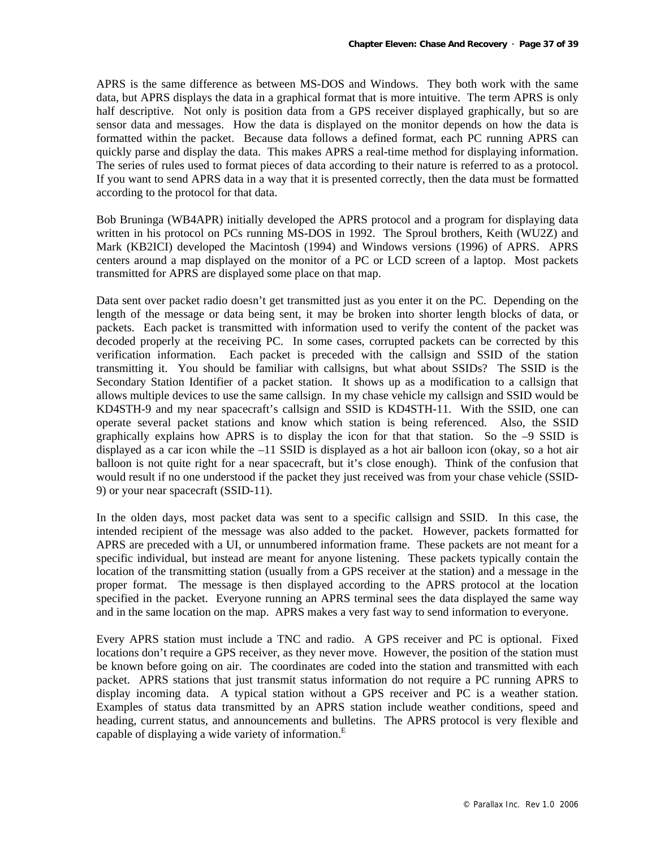APRS is the same difference as between MS-DOS and Windows. They both work with the same data, but APRS displays the data in a graphical format that is more intuitive. The term APRS is only half descriptive. Not only is position data from a GPS receiver displayed graphically, but so are sensor data and messages. How the data is displayed on the monitor depends on how the data is formatted within the packet. Because data follows a defined format, each PC running APRS can quickly parse and display the data. This makes APRS a real-time method for displaying information. The series of rules used to format pieces of data according to their nature is referred to as a protocol. If you want to send APRS data in a way that it is presented correctly, then the data must be formatted according to the protocol for that data.

Bob Bruninga (WB4APR) initially developed the APRS protocol and a program for displaying data written in his protocol on PCs running MS-DOS in 1992. The Sproul brothers, Keith (WU2Z) and Mark (KB2ICI) developed the Macintosh (1994) and Windows versions (1996) of APRS. APRS centers around a map displayed on the monitor of a PC or LCD screen of a laptop. Most packets transmitted for APRS are displayed some place on that map.

Data sent over packet radio doesn't get transmitted just as you enter it on the PC. Depending on the length of the message or data being sent, it may be broken into shorter length blocks of data, or packets. Each packet is transmitted with information used to verify the content of the packet was decoded properly at the receiving PC. In some cases, corrupted packets can be corrected by this verification information. Each packet is preceded with the callsign and SSID of the station transmitting it. You should be familiar with callsigns, but what about SSIDs? The SSID is the Secondary Station Identifier of a packet station. It shows up as a modification to a callsign that allows multiple devices to use the same callsign. In my chase vehicle my callsign and SSID would be KD4STH-9 and my near spacecraft's callsign and SSID is KD4STH-11. With the SSID, one can operate several packet stations and know which station is being referenced. Also, the SSID graphically explains how APRS is to display the icon for that that station. So the –9 SSID is displayed as a car icon while the –11 SSID is displayed as a hot air balloon icon (okay, so a hot air balloon is not quite right for a near spacecraft, but it's close enough). Think of the confusion that would result if no one understood if the packet they just received was from your chase vehicle (SSID-9) or your near spacecraft (SSID-11).

In the olden days, most packet data was sent to a specific callsign and SSID. In this case, the intended recipient of the message was also added to the packet. However, packets formatted for APRS are preceded with a UI, or unnumbered information frame. These packets are not meant for a specific individual, but instead are meant for anyone listening. These packets typically contain the location of the transmitting station (usually from a GPS receiver at the station) and a message in the proper format. The message is then displayed according to the APRS protocol at the location specified in the packet. Everyone running an APRS terminal sees the data displayed the same way and in the same location on the map. APRS makes a very fast way to send information to everyone.

Every APRS station must include a TNC and radio. A GPS receiver and PC is optional. Fixed locations don't require a GPS receiver, as they never move. However, the position of the station must be known before going on air. The coordinates are coded into the station and transmitted with each packet. APRS stations that just transmit status information do not require a PC running APRS to display incoming data. A typical station without a GPS receiver and PC is a weather station. Examples of status data transmitted by an APRS station include weather conditions, speed and heading, current status, and announcements and bulletins. The APRS protocol is very flexible and capable of displaying a wide variety of information.<sup>E</sup>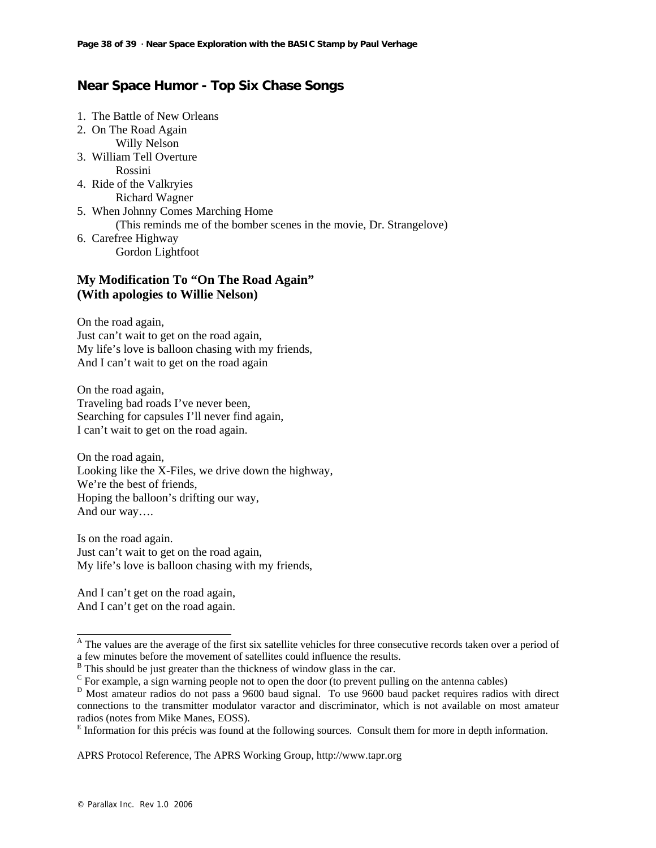## **Near Space Humor - Top Six Chase Songs**

- 1. The Battle of New Orleans
- 2. On The Road Again Willy Nelson
- 3. William Tell Overture Rossini
- 4. Ride of the Valkryies Richard Wagner
- 5. When Johnny Comes Marching Home (This reminds me of the bomber scenes in the movie, Dr. Strangelove)
- 6. Carefree Highway Gordon Lightfoot

## **My Modification To "On The Road Again" (With apologies to Willie Nelson)**

On the road again, Just can't wait to get on the road again, My life's love is balloon chasing with my friends, And I can't wait to get on the road again

On the road again, Traveling bad roads I've never been, Searching for capsules I'll never find again, I can't wait to get on the road again.

On the road again, Looking like the X-Files, we drive down the highway, We're the best of friends, Hoping the balloon's drifting our way, And our way….

Is on the road again. Just can't wait to get on the road again, My life's love is balloon chasing with my friends,

And I can't get on the road again, And I can't get on the road again.

APRS Protocol Reference, The APRS Working Group, http://www.tapr.org

 $\overline{\phantom{a}}$ <sup>A</sup> The values are the average of the first six satellite vehicles for three consecutive records taken over a period of a few minutes before the movement of satellites could influence the results.

 $B$  This should be just greater than the thickness of window glass in the car.

 $\rm{^{C}}$  For example, a sign warning people not to open the door (to prevent pulling on the antenna cables)

<sup>&</sup>lt;sup>D</sup> Most amateur radios do not pass a 9600 baud signal. To use 9600 baud packet requires radios with direct connections to the transmitter modulator varactor and discriminator, which is not available on most amateur radios (notes from Mike Manes, EOSS).

<sup>&</sup>lt;sup>E</sup> Information for this précis was found at the following sources. Consult them for more in depth information.